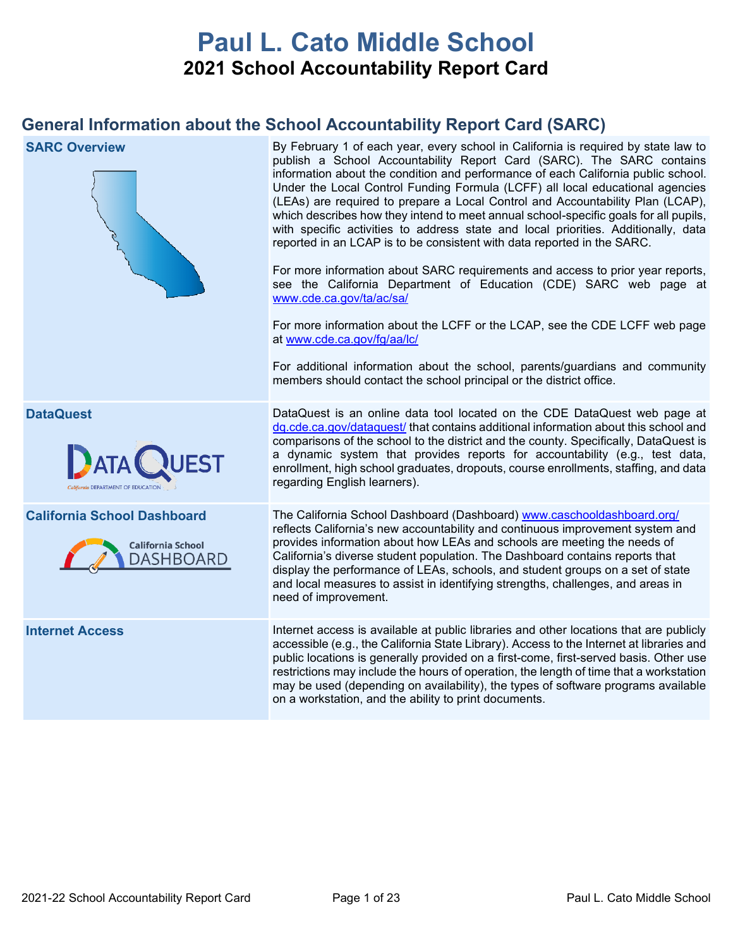# **Paul L. Cato Middle School 2021 School Accountability Report Card**

## **General Information about the School Accountability Report Card (SARC)**

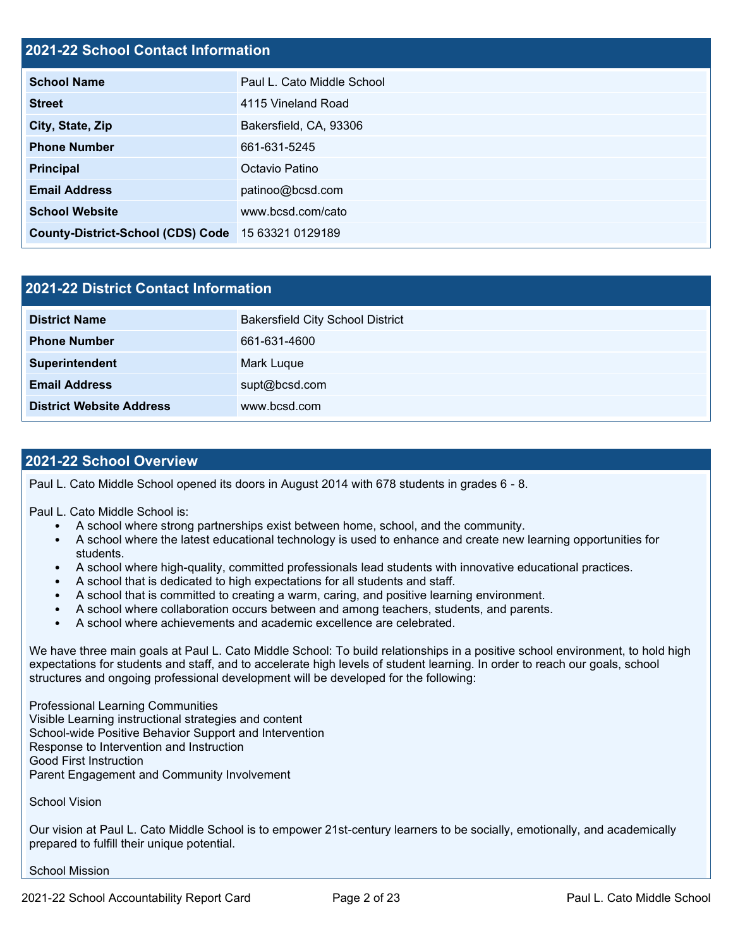## **2021-22 School Contact Information**

| <b>School Name</b>                       | Paul L. Cato Middle School |
|------------------------------------------|----------------------------|
| <b>Street</b>                            | 4115 Vineland Road         |
| City, State, Zip                         | Bakersfield, CA, 93306     |
| <b>Phone Number</b>                      | 661-631-5245               |
| <b>Principal</b>                         | Octavio Patino             |
| <b>Email Address</b>                     | patinoo@bcsd.com           |
| <b>School Website</b>                    | www.bcsd.com/cato          |
| <b>County-District-School (CDS) Code</b> | 15 63321 0129189           |

| 2021-22 District Contact Information |                                         |  |  |  |
|--------------------------------------|-----------------------------------------|--|--|--|
| <b>District Name</b>                 | <b>Bakersfield City School District</b> |  |  |  |
| <b>Phone Number</b>                  | 661-631-4600                            |  |  |  |
| Superintendent                       | Mark Luque                              |  |  |  |
| <b>Email Address</b>                 | supt@bcsd.com                           |  |  |  |
| <b>District Website Address</b>      | www.bcsd.com                            |  |  |  |

#### **2021-22 School Overview**

Paul L. Cato Middle School opened its doors in August 2014 with 678 students in grades 6 - 8.

Paul L. Cato Middle School is:

- A school where strong partnerships exist between home, school, and the community.
- A school where the latest educational technology is used to enhance and create new learning opportunities for students.
- A school where high-quality, committed professionals lead students with innovative educational practices.
- A school that is dedicated to high expectations for all students and staff.
- A school that is committed to creating a warm, caring, and positive learning environment.
- A school where collaboration occurs between and among teachers, students, and parents.
- A school where achievements and academic excellence are celebrated.

We have three main goals at Paul L. Cato Middle School: To build relationships in a positive school environment, to hold high expectations for students and staff, and to accelerate high levels of student learning. In order to reach our goals, school structures and ongoing professional development will be developed for the following:

Professional Learning Communities Visible Learning instructional strategies and content School-wide Positive Behavior Support and Intervention Response to Intervention and Instruction Good First Instruction Parent Engagement and Community Involvement

School Vision

Our vision at Paul L. Cato Middle School is to empower 21st-century learners to be socially, emotionally, and academically prepared to fulfill their unique potential.

School Mission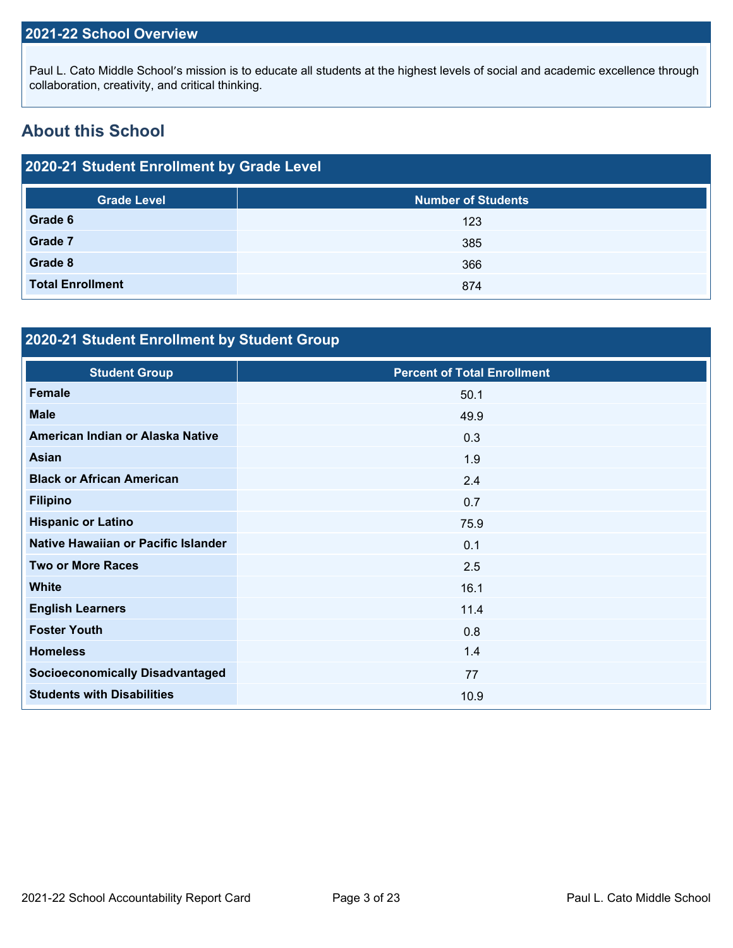## **2021-22 School Overview**

Paul L. Cato Middle School's mission is to educate all students at the highest levels of social and academic excellence through collaboration, creativity, and critical thinking.

## **About this School**

| 2020-21 Student Enrollment by Grade Level |                           |  |  |  |
|-------------------------------------------|---------------------------|--|--|--|
| <b>Grade Level</b>                        | <b>Number of Students</b> |  |  |  |
| Grade 6                                   | 123                       |  |  |  |
| Grade 7                                   | 385                       |  |  |  |
| Grade 8                                   | 366                       |  |  |  |
| <b>Total Enrollment</b>                   | 874                       |  |  |  |

## **2020-21 Student Enrollment by Student Group**

| <b>Student Group</b>                   | <b>Percent of Total Enrollment</b> |
|----------------------------------------|------------------------------------|
| <b>Female</b>                          | 50.1                               |
| <b>Male</b>                            | 49.9                               |
| American Indian or Alaska Native       | 0.3                                |
| <b>Asian</b>                           | 1.9                                |
| <b>Black or African American</b>       | 2.4                                |
| <b>Filipino</b>                        | 0.7                                |
| <b>Hispanic or Latino</b>              | 75.9                               |
| Native Hawaiian or Pacific Islander    | 0.1                                |
| <b>Two or More Races</b>               | 2.5                                |
| <b>White</b>                           | 16.1                               |
| <b>English Learners</b>                | 11.4                               |
| <b>Foster Youth</b>                    | 0.8                                |
| <b>Homeless</b>                        | 1.4                                |
| <b>Socioeconomically Disadvantaged</b> | 77                                 |
| <b>Students with Disabilities</b>      | 10.9                               |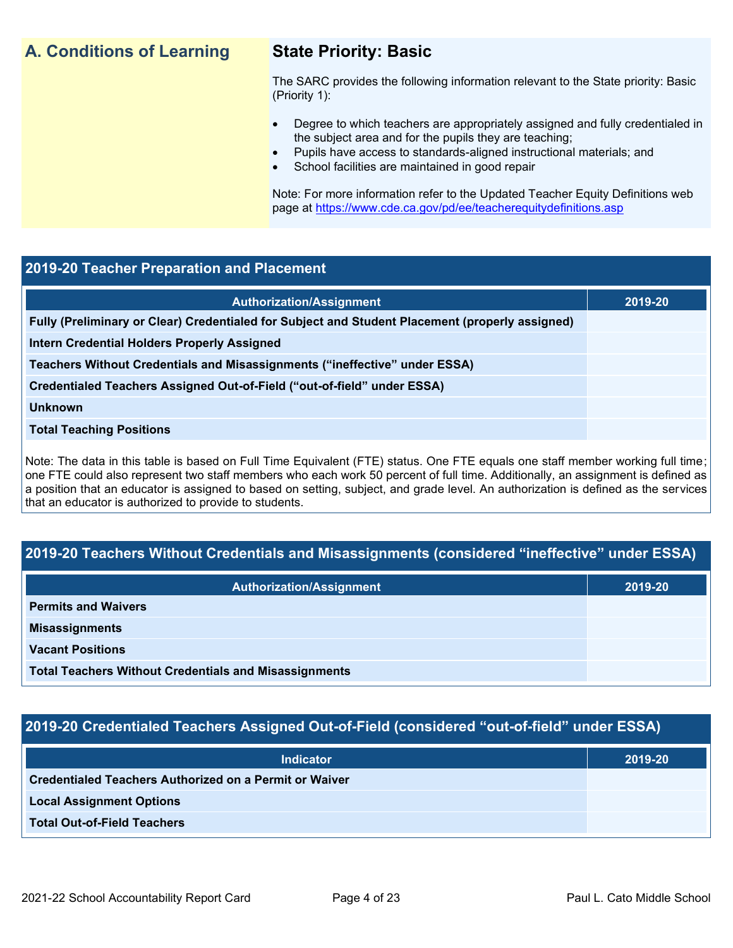## **A. Conditions of Learning State Priority: Basic**

The SARC provides the following information relevant to the State priority: Basic (Priority 1):

- Degree to which teachers are appropriately assigned and fully credentialed in the subject area and for the pupils they are teaching;
	- Pupils have access to standards-aligned instructional materials; and
- School facilities are maintained in good repair

Note: For more information refer to the Updated Teacher Equity Definitions web page at<https://www.cde.ca.gov/pd/ee/teacherequitydefinitions.asp>

#### **2019-20 Teacher Preparation and Placement**

| <b>Authorization/Assignment</b>                                                                 | 2019-20 |
|-------------------------------------------------------------------------------------------------|---------|
| Fully (Preliminary or Clear) Credentialed for Subject and Student Placement (properly assigned) |         |
| Intern Credential Holders Properly Assigned                                                     |         |
| Teachers Without Credentials and Misassignments ("ineffective" under ESSA)                      |         |
| Credentialed Teachers Assigned Out-of-Field ("out-of-field" under ESSA)                         |         |
| <b>Unknown</b>                                                                                  |         |
| <b>Total Teaching Positions</b>                                                                 |         |
|                                                                                                 |         |

Note: The data in this table is based on Full Time Equivalent (FTE) status. One FTE equals one staff member working full time; one FTE could also represent two staff members who each work 50 percent of full time. Additionally, an assignment is defined as a position that an educator is assigned to based on setting, subject, and grade level. An authorization is defined as the services that an educator is authorized to provide to students.

## **2019-20 Teachers Without Credentials and Misassignments (considered "ineffective" under ESSA)**

| <b>Authorization/Assignment</b>                              | 2019-20 |
|--------------------------------------------------------------|---------|
| <b>Permits and Waivers</b>                                   |         |
| <b>Misassignments</b>                                        |         |
| <b>Vacant Positions</b>                                      |         |
| <b>Total Teachers Without Credentials and Misassignments</b> |         |

## **2019-20 Credentialed Teachers Assigned Out-of-Field (considered "out-of-field" under ESSA)**

| <b>Indicator</b>                                       | 2019-20 |
|--------------------------------------------------------|---------|
| Credentialed Teachers Authorized on a Permit or Waiver |         |
| <b>Local Assignment Options</b>                        |         |
| <b>Total Out-of-Field Teachers</b>                     |         |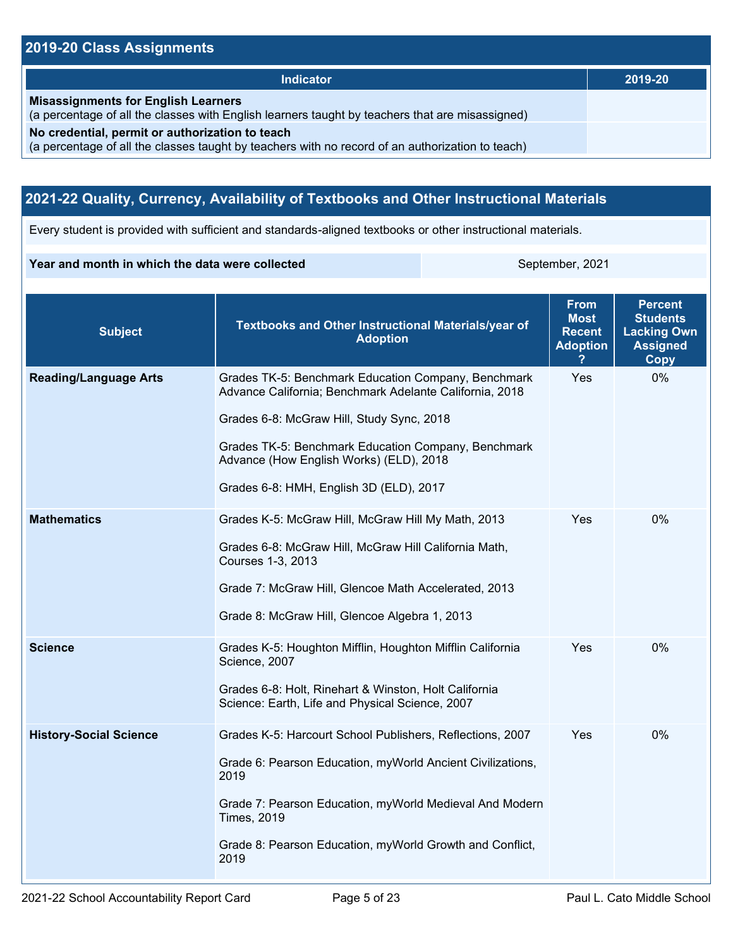## **2019-20 Class Assignments**

| <b>Indicator</b>                                                                                                                                    | 2019-20 |
|-----------------------------------------------------------------------------------------------------------------------------------------------------|---------|
| <b>Misassignments for English Learners</b><br>(a percentage of all the classes with English learners taught by teachers that are misassigned)       |         |
| No credential, permit or authorization to teach<br>(a percentage of all the classes taught by teachers with no record of an authorization to teach) |         |

## **2021-22 Quality, Currency, Availability of Textbooks and Other Instructional Materials**

Every student is provided with sufficient and standards-aligned textbooks or other instructional materials.

#### **Year and month in which the data were collected** September, 2021

| <b>Subject</b>                | <b>Textbooks and Other Instructional Materials/year of</b><br><b>Adoption</b>                                                                                                                                                                                                                            | <b>From</b><br><b>Most</b><br><b>Recent</b><br><b>Adoption</b> | <b>Percent</b><br><b>Students</b><br><b>Lacking Own</b><br><b>Assigned</b><br>Copy |  |
|-------------------------------|----------------------------------------------------------------------------------------------------------------------------------------------------------------------------------------------------------------------------------------------------------------------------------------------------------|----------------------------------------------------------------|------------------------------------------------------------------------------------|--|
| <b>Reading/Language Arts</b>  | Grades TK-5: Benchmark Education Company, Benchmark<br>Advance California; Benchmark Adelante California, 2018<br>Grades 6-8: McGraw Hill, Study Sync, 2018<br>Grades TK-5: Benchmark Education Company, Benchmark<br>Advance (How English Works) (ELD), 2018<br>Grades 6-8: HMH, English 3D (ELD), 2017 | Yes                                                            | 0%                                                                                 |  |
| <b>Mathematics</b>            | Grades K-5: McGraw Hill, McGraw Hill My Math, 2013<br>Grades 6-8: McGraw Hill, McGraw Hill California Math,<br>Courses 1-3, 2013<br>Grade 7: McGraw Hill, Glencoe Math Accelerated, 2013<br>Grade 8: McGraw Hill, Glencoe Algebra 1, 2013                                                                | Yes                                                            | 0%                                                                                 |  |
| <b>Science</b>                | Grades K-5: Houghton Mifflin, Houghton Mifflin California<br>Science, 2007<br>Grades 6-8: Holt, Rinehart & Winston, Holt California<br>Science: Earth, Life and Physical Science, 2007                                                                                                                   | Yes                                                            | 0%                                                                                 |  |
| <b>History-Social Science</b> | Grades K-5: Harcourt School Publishers, Reflections, 2007<br>Grade 6: Pearson Education, myWorld Ancient Civilizations,<br>2019<br>Grade 7: Pearson Education, myWorld Medieval And Modern<br><b>Times, 2019</b><br>Grade 8: Pearson Education, myWorld Growth and Conflict,<br>2019                     | Yes                                                            | $0\%$                                                                              |  |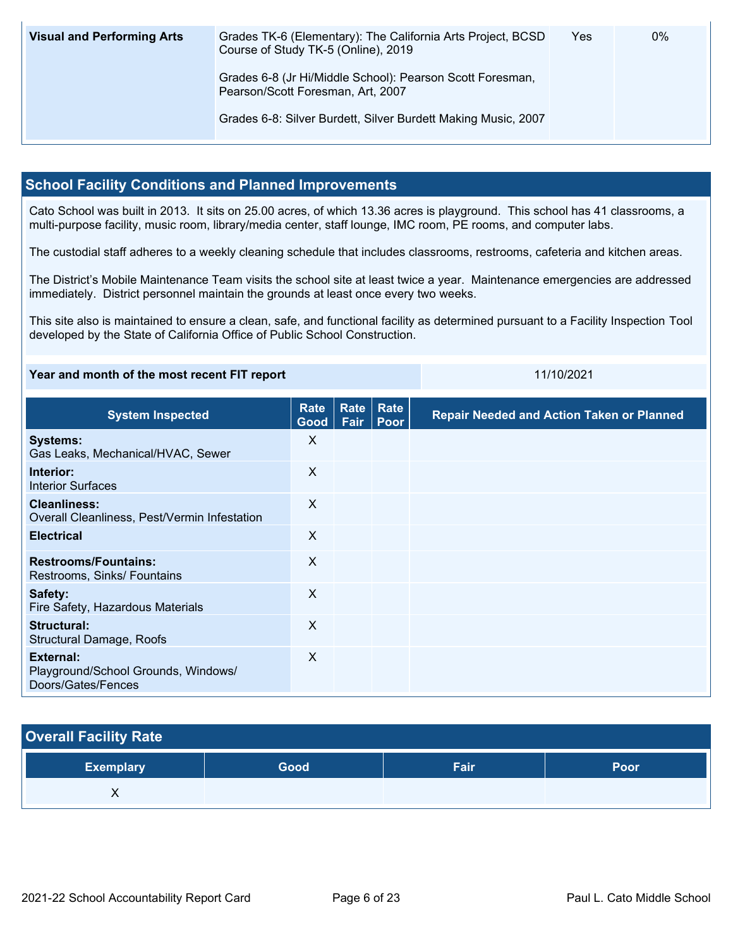| <b>Visual and Performing Arts</b> | Grades TK-6 (Elementary): The California Arts Project, BCSD<br>Course of Study TK-5 (Online), 2019 | Yes | 0% |
|-----------------------------------|----------------------------------------------------------------------------------------------------|-----|----|
|                                   | Grades 6-8 (Jr Hi/Middle School): Pearson Scott Foresman,<br>Pearson/Scott Foresman, Art, 2007     |     |    |
|                                   | Grades 6-8: Silver Burdett, Silver Burdett Making Music, 2007                                      |     |    |

### **School Facility Conditions and Planned Improvements**

Cato School was built in 2013. It sits on 25.00 acres, of which 13.36 acres is playground. This school has 41 classrooms, a multi-purpose facility, music room, library/media center, staff lounge, IMC room, PE rooms, and computer labs.

The custodial staff adheres to a weekly cleaning schedule that includes classrooms, restrooms, cafeteria and kitchen areas.

The District's Mobile Maintenance Team visits the school site at least twice a year. Maintenance emergencies are addressed immediately. District personnel maintain the grounds at least once every two weeks.

This site also is maintained to ensure a clean, safe, and functional facility as determined pursuant to a Facility Inspection Tool developed by the State of California Office of Public School Construction.

| Year and month of the most recent FIT report                           |                     |              | 11/10/2021   |                                                  |
|------------------------------------------------------------------------|---------------------|--------------|--------------|--------------------------------------------------|
| <b>System Inspected</b>                                                | <b>Rate</b><br>Good | Rate<br>Fair | Rate<br>Poor | <b>Repair Needed and Action Taken or Planned</b> |
| <b>Systems:</b><br>Gas Leaks, Mechanical/HVAC, Sewer                   | X                   |              |              |                                                  |
| Interior:<br><b>Interior Surfaces</b>                                  | X                   |              |              |                                                  |
| <b>Cleanliness:</b><br>Overall Cleanliness, Pest/Vermin Infestation    | X                   |              |              |                                                  |
| <b>Electrical</b>                                                      | X                   |              |              |                                                  |
| <b>Restrooms/Fountains:</b><br>Restrooms, Sinks/ Fountains             | X                   |              |              |                                                  |
| Safety:<br>Fire Safety, Hazardous Materials                            | X                   |              |              |                                                  |
| Structural:<br><b>Structural Damage, Roofs</b>                         | X                   |              |              |                                                  |
| External:<br>Playground/School Grounds, Windows/<br>Doors/Gates/Fences | X                   |              |              |                                                  |

| <b>Overall Facility Rate</b> |  |
|------------------------------|--|
|                              |  |

| <b>Exemplary</b> | Good | Fair | Poor |
|------------------|------|------|------|
| ,,               |      |      |      |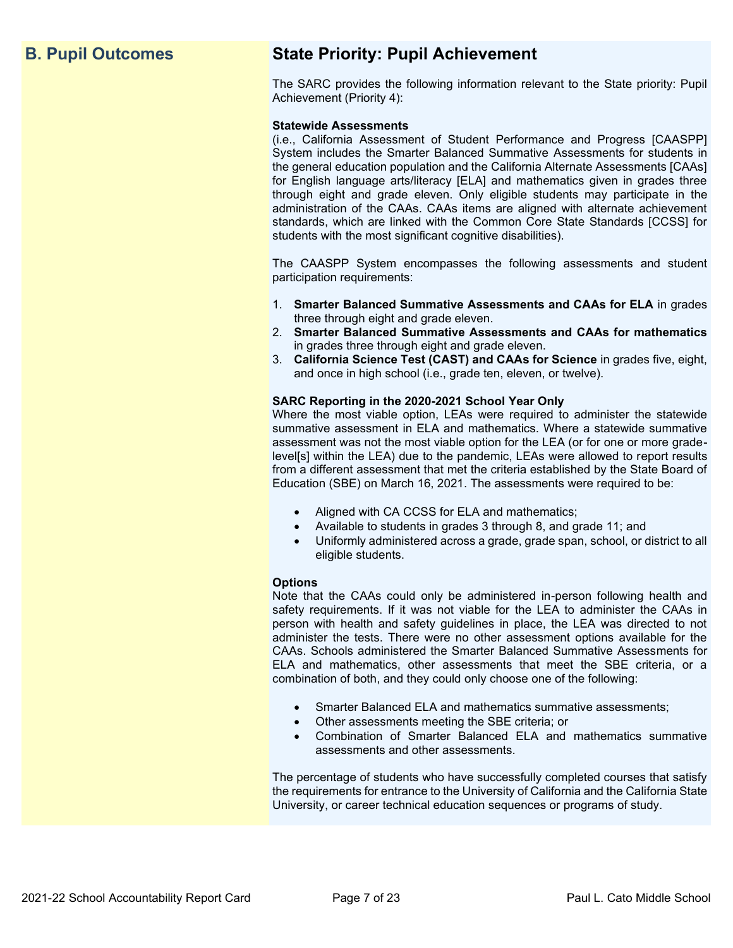## **B. Pupil Outcomes State Priority: Pupil Achievement**

The SARC provides the following information relevant to the State priority: Pupil Achievement (Priority 4):

#### **Statewide Assessments**

(i.e., California Assessment of Student Performance and Progress [CAASPP] System includes the Smarter Balanced Summative Assessments for students in the general education population and the California Alternate Assessments [CAAs] for English language arts/literacy [ELA] and mathematics given in grades three through eight and grade eleven. Only eligible students may participate in the administration of the CAAs. CAAs items are aligned with alternate achievement standards, which are linked with the Common Core State Standards [CCSS] for students with the most significant cognitive disabilities).

The CAASPP System encompasses the following assessments and student participation requirements:

- 1. **Smarter Balanced Summative Assessments and CAAs for ELA** in grades three through eight and grade eleven.
- 2. **Smarter Balanced Summative Assessments and CAAs for mathematics** in grades three through eight and grade eleven.
- 3. **California Science Test (CAST) and CAAs for Science** in grades five, eight, and once in high school (i.e., grade ten, eleven, or twelve).

#### **SARC Reporting in the 2020-2021 School Year Only**

Where the most viable option, LEAs were required to administer the statewide summative assessment in ELA and mathematics. Where a statewide summative assessment was not the most viable option for the LEA (or for one or more gradelevel[s] within the LEA) due to the pandemic, LEAs were allowed to report results from a different assessment that met the criteria established by the State Board of Education (SBE) on March 16, 2021. The assessments were required to be:

- Aligned with CA CCSS for ELA and mathematics;
- Available to students in grades 3 through 8, and grade 11; and
- Uniformly administered across a grade, grade span, school, or district to all eligible students.

#### **Options**

Note that the CAAs could only be administered in-person following health and safety requirements. If it was not viable for the LEA to administer the CAAs in person with health and safety guidelines in place, the LEA was directed to not administer the tests. There were no other assessment options available for the CAAs. Schools administered the Smarter Balanced Summative Assessments for ELA and mathematics, other assessments that meet the SBE criteria, or a combination of both, and they could only choose one of the following:

- Smarter Balanced ELA and mathematics summative assessments;
- Other assessments meeting the SBE criteria; or
- Combination of Smarter Balanced ELA and mathematics summative assessments and other assessments.

The percentage of students who have successfully completed courses that satisfy the requirements for entrance to the University of California and the California State University, or career technical education sequences or programs of study.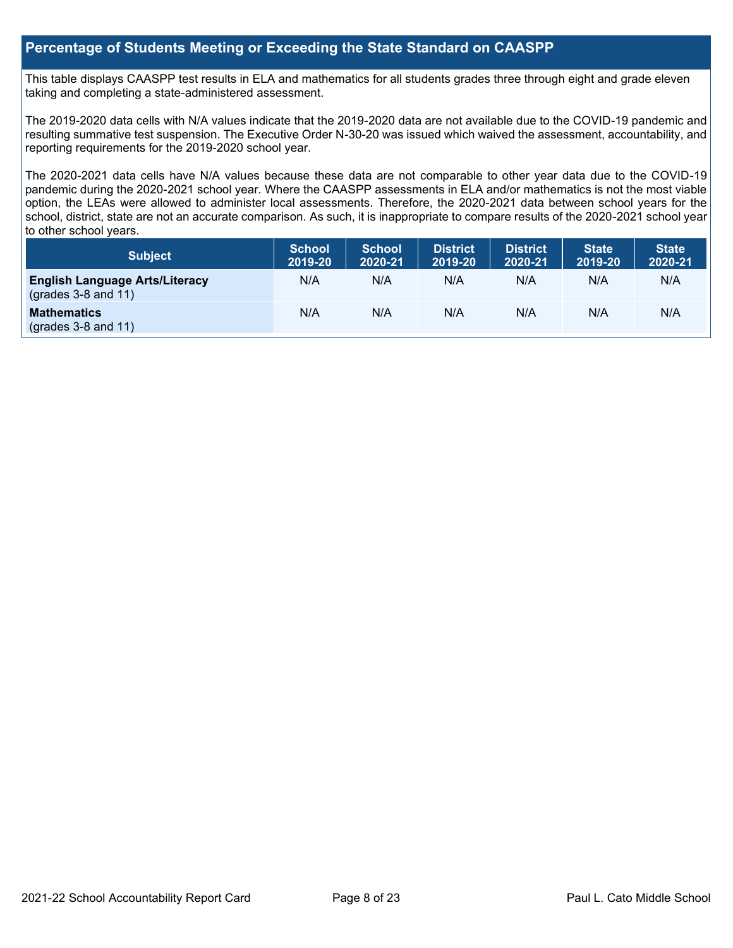### **Percentage of Students Meeting or Exceeding the State Standard on CAASPP**

This table displays CAASPP test results in ELA and mathematics for all students grades three through eight and grade eleven taking and completing a state-administered assessment.

The 2019-2020 data cells with N/A values indicate that the 2019-2020 data are not available due to the COVID-19 pandemic and resulting summative test suspension. The Executive Order N-30-20 was issued which waived the assessment, accountability, and reporting requirements for the 2019-2020 school year.

The 2020-2021 data cells have N/A values because these data are not comparable to other year data due to the COVID-19 pandemic during the 2020-2021 school year. Where the CAASPP assessments in ELA and/or mathematics is not the most viable option, the LEAs were allowed to administer local assessments. Therefore, the 2020-2021 data between school years for the school, district, state are not an accurate comparison. As such, it is inappropriate to compare results of the 2020-2021 school year to other school years.

| Subject                                                              | <b>School</b><br>2019-20 | <b>School</b><br>2020-21 | <b>District</b><br>2019-20 | <b>District</b><br>2020-21 | <b>State</b><br>2019-20 | <b>State</b><br>2020-21 |
|----------------------------------------------------------------------|--------------------------|--------------------------|----------------------------|----------------------------|-------------------------|-------------------------|
| <b>English Language Arts/Literacy</b><br>$\left($ grades 3-8 and 11) | N/A                      | N/A                      | N/A                        | N/A                        | N/A                     | N/A                     |
| <b>Mathematics</b><br>$(grades 3-8 and 11)$                          | N/A                      | N/A                      | N/A                        | N/A                        | N/A                     | N/A                     |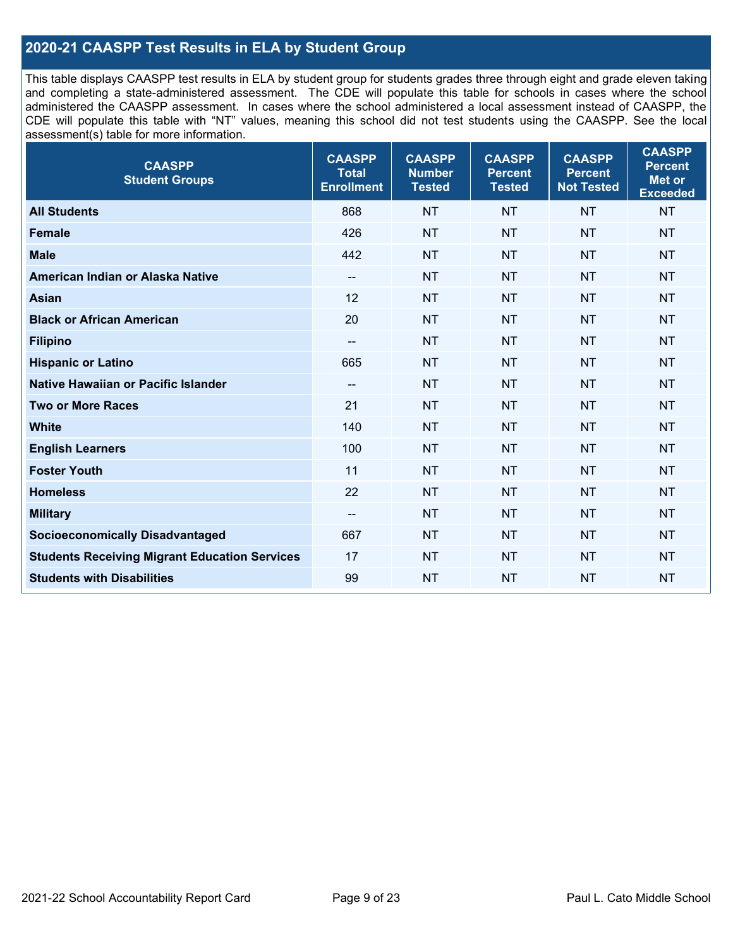## **2020-21 CAASPP Test Results in ELA by Student Group**

This table displays CAASPP test results in ELA by student group for students grades three through eight and grade eleven taking and completing a state-administered assessment. The CDE will populate this table for schools in cases where the school administered the CAASPP assessment. In cases where the school administered a local assessment instead of CAASPP, the CDE will populate this table with "NT" values, meaning this school did not test students using the CAASPP. See the local assessment(s) table for more information.

| <b>CAASPP</b><br><b>Student Groups</b>               | <b>CAASPP</b><br><b>Total</b><br><b>Enrollment</b> | <b>CAASPP</b><br><b>Number</b><br><b>Tested</b> | <b>CAASPP</b><br><b>Percent</b><br><b>Tested</b> | <b>CAASPP</b><br><b>Percent</b><br><b>Not Tested</b> | <b>CAASPP</b><br><b>Percent</b><br>Met or<br><b>Exceeded</b> |
|------------------------------------------------------|----------------------------------------------------|-------------------------------------------------|--------------------------------------------------|------------------------------------------------------|--------------------------------------------------------------|
| <b>All Students</b>                                  | 868                                                | <b>NT</b>                                       | <b>NT</b>                                        | <b>NT</b>                                            | <b>NT</b>                                                    |
| <b>Female</b>                                        | 426                                                | <b>NT</b>                                       | <b>NT</b>                                        | <b>NT</b>                                            | <b>NT</b>                                                    |
| <b>Male</b>                                          | 442                                                | <b>NT</b>                                       | <b>NT</b>                                        | <b>NT</b>                                            | <b>NT</b>                                                    |
| American Indian or Alaska Native                     | $\overline{\phantom{a}}$                           | <b>NT</b>                                       | <b>NT</b>                                        | <b>NT</b>                                            | <b>NT</b>                                                    |
| <b>Asian</b>                                         | 12                                                 | <b>NT</b>                                       | <b>NT</b>                                        | <b>NT</b>                                            | <b>NT</b>                                                    |
| <b>Black or African American</b>                     | 20                                                 | <b>NT</b>                                       | <b>NT</b>                                        | <b>NT</b>                                            | <b>NT</b>                                                    |
| <b>Filipino</b>                                      | $\overline{\phantom{a}}$                           | <b>NT</b>                                       | <b>NT</b>                                        | <b>NT</b>                                            | <b>NT</b>                                                    |
| <b>Hispanic or Latino</b>                            | 665                                                | <b>NT</b>                                       | <b>NT</b>                                        | <b>NT</b>                                            | <b>NT</b>                                                    |
| Native Hawaiian or Pacific Islander                  | $\overline{\phantom{a}}$                           | <b>NT</b>                                       | <b>NT</b>                                        | <b>NT</b>                                            | <b>NT</b>                                                    |
| <b>Two or More Races</b>                             | 21                                                 | <b>NT</b>                                       | <b>NT</b>                                        | <b>NT</b>                                            | <b>NT</b>                                                    |
| <b>White</b>                                         | 140                                                | <b>NT</b>                                       | <b>NT</b>                                        | <b>NT</b>                                            | <b>NT</b>                                                    |
| <b>English Learners</b>                              | 100                                                | <b>NT</b>                                       | <b>NT</b>                                        | <b>NT</b>                                            | <b>NT</b>                                                    |
| <b>Foster Youth</b>                                  | 11                                                 | <b>NT</b>                                       | <b>NT</b>                                        | <b>NT</b>                                            | <b>NT</b>                                                    |
| <b>Homeless</b>                                      | 22                                                 | <b>NT</b>                                       | <b>NT</b>                                        | <b>NT</b>                                            | <b>NT</b>                                                    |
| <b>Military</b>                                      | $\overline{\phantom{a}}$                           | <b>NT</b>                                       | <b>NT</b>                                        | <b>NT</b>                                            | <b>NT</b>                                                    |
| <b>Socioeconomically Disadvantaged</b>               | 667                                                | <b>NT</b>                                       | <b>NT</b>                                        | <b>NT</b>                                            | <b>NT</b>                                                    |
| <b>Students Receiving Migrant Education Services</b> | 17                                                 | <b>NT</b>                                       | <b>NT</b>                                        | <b>NT</b>                                            | <b>NT</b>                                                    |
| <b>Students with Disabilities</b>                    | 99                                                 | <b>NT</b>                                       | <b>NT</b>                                        | <b>NT</b>                                            | <b>NT</b>                                                    |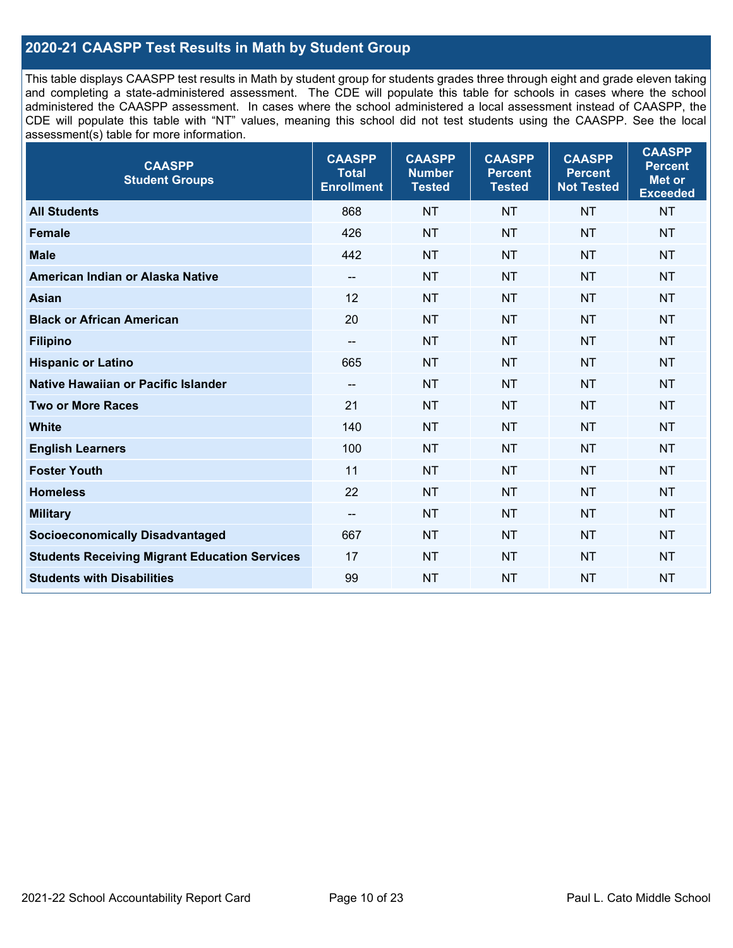## **2020-21 CAASPP Test Results in Math by Student Group**

This table displays CAASPP test results in Math by student group for students grades three through eight and grade eleven taking and completing a state-administered assessment. The CDE will populate this table for schools in cases where the school administered the CAASPP assessment. In cases where the school administered a local assessment instead of CAASPP, the CDE will populate this table with "NT" values, meaning this school did not test students using the CAASPP. See the local assessment(s) table for more information.

| <b>CAASPP</b><br><b>Student Groups</b>               | <b>CAASPP</b><br><b>Total</b><br><b>Enrollment</b> | <b>CAASPP</b><br><b>Number</b><br><b>Tested</b> | <b>CAASPP</b><br><b>Percent</b><br><b>Tested</b> | <b>CAASPP</b><br><b>Percent</b><br><b>Not Tested</b> | <b>CAASPP</b><br><b>Percent</b><br><b>Met or</b><br><b>Exceeded</b> |
|------------------------------------------------------|----------------------------------------------------|-------------------------------------------------|--------------------------------------------------|------------------------------------------------------|---------------------------------------------------------------------|
| <b>All Students</b>                                  | 868                                                | <b>NT</b>                                       | <b>NT</b>                                        | <b>NT</b>                                            | <b>NT</b>                                                           |
| <b>Female</b>                                        | 426                                                | <b>NT</b>                                       | <b>NT</b>                                        | <b>NT</b>                                            | <b>NT</b>                                                           |
| <b>Male</b>                                          | 442                                                | <b>NT</b>                                       | <b>NT</b>                                        | <b>NT</b>                                            | <b>NT</b>                                                           |
| American Indian or Alaska Native                     | $\overline{\phantom{a}}$                           | <b>NT</b>                                       | <b>NT</b>                                        | <b>NT</b>                                            | <b>NT</b>                                                           |
| <b>Asian</b>                                         | 12                                                 | <b>NT</b>                                       | <b>NT</b>                                        | <b>NT</b>                                            | <b>NT</b>                                                           |
| <b>Black or African American</b>                     | 20                                                 | <b>NT</b>                                       | <b>NT</b>                                        | <b>NT</b>                                            | <b>NT</b>                                                           |
| <b>Filipino</b>                                      | $\overline{\phantom{a}}$                           | <b>NT</b>                                       | <b>NT</b>                                        | <b>NT</b>                                            | <b>NT</b>                                                           |
| <b>Hispanic or Latino</b>                            | 665                                                | <b>NT</b>                                       | <b>NT</b>                                        | <b>NT</b>                                            | <b>NT</b>                                                           |
| Native Hawaiian or Pacific Islander                  | $\overline{\phantom{a}}$                           | <b>NT</b>                                       | <b>NT</b>                                        | <b>NT</b>                                            | <b>NT</b>                                                           |
| <b>Two or More Races</b>                             | 21                                                 | <b>NT</b>                                       | <b>NT</b>                                        | <b>NT</b>                                            | <b>NT</b>                                                           |
| <b>White</b>                                         | 140                                                | <b>NT</b>                                       | <b>NT</b>                                        | <b>NT</b>                                            | NT                                                                  |
| <b>English Learners</b>                              | 100                                                | <b>NT</b>                                       | <b>NT</b>                                        | <b>NT</b>                                            | <b>NT</b>                                                           |
| <b>Foster Youth</b>                                  | 11                                                 | <b>NT</b>                                       | <b>NT</b>                                        | <b>NT</b>                                            | <b>NT</b>                                                           |
| <b>Homeless</b>                                      | 22                                                 | <b>NT</b>                                       | <b>NT</b>                                        | <b>NT</b>                                            | <b>NT</b>                                                           |
| <b>Military</b>                                      | $\overline{\phantom{a}}$                           | <b>NT</b>                                       | <b>NT</b>                                        | <b>NT</b>                                            | <b>NT</b>                                                           |
| <b>Socioeconomically Disadvantaged</b>               | 667                                                | <b>NT</b>                                       | <b>NT</b>                                        | <b>NT</b>                                            | <b>NT</b>                                                           |
| <b>Students Receiving Migrant Education Services</b> | 17                                                 | <b>NT</b>                                       | <b>NT</b>                                        | <b>NT</b>                                            | NT                                                                  |
| <b>Students with Disabilities</b>                    | 99                                                 | <b>NT</b>                                       | <b>NT</b>                                        | <b>NT</b>                                            | <b>NT</b>                                                           |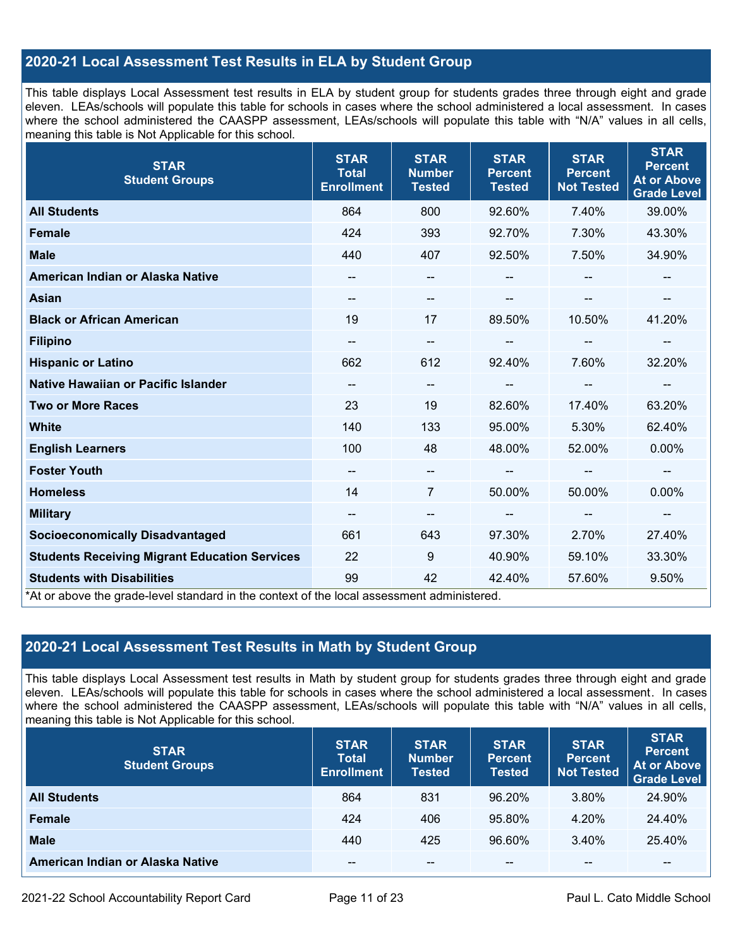## **2020-21 Local Assessment Test Results in ELA by Student Group**

This table displays Local Assessment test results in ELA by student group for students grades three through eight and grade eleven. LEAs/schools will populate this table for schools in cases where the school administered a local assessment. In cases where the school administered the CAASPP assessment, LEAs/schools will populate this table with "N/A" values in all cells, meaning this table is Not Applicable for this school.

| <b>STAR</b><br><b>Student Groups</b>                                                                                            | <b>STAR</b><br><b>Total</b><br><b>Enrollment</b> | <b>STAR</b><br><b>Number</b><br><b>Tested</b> | <b>STAR</b><br><b>Percent</b><br><b>Tested</b> | <b>STAR</b><br><b>Percent</b><br><b>Not Tested</b> | <b>STAR</b><br><b>Percent</b><br><b>At or Above</b><br><b>Grade Level</b> |
|---------------------------------------------------------------------------------------------------------------------------------|--------------------------------------------------|-----------------------------------------------|------------------------------------------------|----------------------------------------------------|---------------------------------------------------------------------------|
| <b>All Students</b>                                                                                                             | 864                                              | 800                                           | 92.60%                                         | 7.40%                                              | 39.00%                                                                    |
| <b>Female</b>                                                                                                                   | 424                                              | 393                                           | 92.70%                                         | 7.30%                                              | 43.30%                                                                    |
| <b>Male</b>                                                                                                                     | 440                                              | 407                                           | 92.50%                                         | 7.50%                                              | 34.90%                                                                    |
| American Indian or Alaska Native                                                                                                | $\qquad \qquad -$                                | --                                            | --                                             |                                                    |                                                                           |
| <b>Asian</b>                                                                                                                    | --                                               | --                                            |                                                | --                                                 |                                                                           |
| <b>Black or African American</b>                                                                                                | 19                                               | 17                                            | 89.50%                                         | 10.50%                                             | 41.20%                                                                    |
| <b>Filipino</b>                                                                                                                 | --                                               | --                                            | --                                             | --                                                 | $\overline{\phantom{a}}$                                                  |
| <b>Hispanic or Latino</b>                                                                                                       | 662                                              | 612                                           | 92.40%                                         | 7.60%                                              | 32.20%                                                                    |
| Native Hawaiian or Pacific Islander                                                                                             | --                                               | --                                            |                                                |                                                    |                                                                           |
| <b>Two or More Races</b>                                                                                                        | 23                                               | 19                                            | 82.60%                                         | 17.40%                                             | 63.20%                                                                    |
| <b>White</b>                                                                                                                    | 140                                              | 133                                           | 95.00%                                         | 5.30%                                              | 62.40%                                                                    |
| <b>English Learners</b>                                                                                                         | 100                                              | 48                                            | 48.00%                                         | 52.00%                                             | 0.00%                                                                     |
| <b>Foster Youth</b>                                                                                                             | $\qquad \qquad -$                                | $\qquad \qquad -$                             |                                                | $-$                                                |                                                                           |
| <b>Homeless</b>                                                                                                                 | 14                                               | 7                                             | 50.00%                                         | 50.00%                                             | 0.00%                                                                     |
| <b>Military</b>                                                                                                                 | $\qquad \qquad -$                                | --                                            | $\hspace{0.05cm}$ – $\hspace{0.05cm}$          | $\overline{\phantom{a}}$                           | $\overline{\phantom{a}}$                                                  |
| <b>Socioeconomically Disadvantaged</b>                                                                                          | 661                                              | 643                                           | 97.30%                                         | 2.70%                                              | 27.40%                                                                    |
| <b>Students Receiving Migrant Education Services</b>                                                                            | 22                                               | 9                                             | 40.90%                                         | 59.10%                                             | 33.30%                                                                    |
| <b>Students with Disabilities</b><br>*At or above the grade-level standard in the context of the local assessment administered. | 99                                               | 42                                            | 42.40%                                         | 57.60%                                             | 9.50%                                                                     |

## **2020-21 Local Assessment Test Results in Math by Student Group**

This table displays Local Assessment test results in Math by student group for students grades three through eight and grade eleven. LEAs/schools will populate this table for schools in cases where the school administered a local assessment. In cases where the school administered the CAASPP assessment, LEAs/schools will populate this table with "N/A" values in all cells, meaning this table is Not Applicable for this school.

| <b>STAR</b><br><b>Student Groups</b> | <b>STAR</b><br><b>Total</b><br><b>Enrollment</b> | <b>STAR</b><br><b>Number</b><br><b>Tested</b> | <b>STAR</b><br><b>Percent</b><br><b>Tested</b> | <b>STAR</b><br><b>Percent</b><br><b>Not Tested</b> | <b>STAR</b><br><b>Percent</b><br><b>At or Above</b><br><b>Grade Level</b> |
|--------------------------------------|--------------------------------------------------|-----------------------------------------------|------------------------------------------------|----------------------------------------------------|---------------------------------------------------------------------------|
| <b>All Students</b>                  | 864                                              | 831                                           | 96.20%                                         | 3.80%                                              | 24.90%                                                                    |
| <b>Female</b>                        | 424                                              | 406                                           | 95.80%                                         | 4.20%                                              | 24.40%                                                                    |
| <b>Male</b>                          | 440                                              | 425                                           | 96.60%                                         | 3.40%                                              | 25.40%                                                                    |
| American Indian or Alaska Native     | --                                               | $\sim$ $\sim$                                 | $- -$                                          | --                                                 | $\overline{\phantom{m}}$                                                  |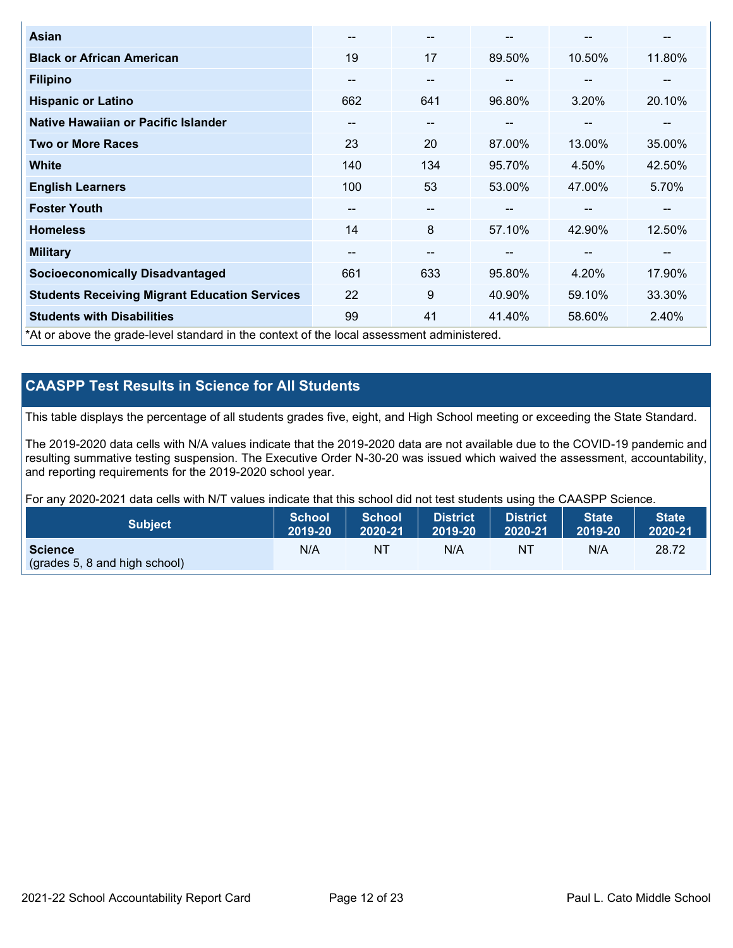| <b>Asian</b>                                                                               | --  | $\overline{\phantom{m}}$ | --     | --     | --     |
|--------------------------------------------------------------------------------------------|-----|--------------------------|--------|--------|--------|
| <b>Black or African American</b>                                                           | 19  | 17                       | 89.50% | 10.50% | 11.80% |
| <b>Filipino</b>                                                                            | --  | $\overline{\phantom{m}}$ | --     | $\sim$ | --     |
| <b>Hispanic or Latino</b>                                                                  | 662 | 641                      | 96.80% | 3.20%  | 20.10% |
| <b>Native Hawaiian or Pacific Islander</b>                                                 | --  | $\overline{\phantom{m}}$ | --     | $\sim$ | --     |
| <b>Two or More Races</b>                                                                   | 23  | 20                       | 87.00% | 13.00% | 35.00% |
| <b>White</b>                                                                               | 140 | 134                      | 95.70% | 4.50%  | 42.50% |
| <b>English Learners</b>                                                                    | 100 | 53                       | 53.00% | 47.00% | 5.70%  |
| <b>Foster Youth</b>                                                                        | --  | $\overline{\phantom{m}}$ |        | --     | --     |
| <b>Homeless</b>                                                                            | 14  | 8                        | 57.10% | 42.90% | 12.50% |
| <b>Military</b>                                                                            | --  | $- -$                    | --     | --     | --     |
| <b>Socioeconomically Disadvantaged</b>                                                     | 661 | 633                      | 95.80% | 4.20%  | 17.90% |
| <b>Students Receiving Migrant Education Services</b>                                       | 22  | 9                        | 40.90% | 59.10% | 33.30% |
| <b>Students with Disabilities</b>                                                          | 99  | 41                       | 41.40% | 58.60% | 2.40%  |
| *At or above the grade-level standard in the context of the local assessment administered. |     |                          |        |        |        |

## **CAASPP Test Results in Science for All Students**

This table displays the percentage of all students grades five, eight, and High School meeting or exceeding the State Standard.

The 2019-2020 data cells with N/A values indicate that the 2019-2020 data are not available due to the COVID-19 pandemic and resulting summative testing suspension. The Executive Order N-30-20 was issued which waived the assessment, accountability, and reporting requirements for the 2019-2020 school year.

For any 2020-2021 data cells with N/T values indicate that this school did not test students using the CAASPP Science.

| <b>Subject</b>                                           | <b>School</b> | <b>School</b> | <b>District</b> | District | <b>State</b> | <b>State</b> |
|----------------------------------------------------------|---------------|---------------|-----------------|----------|--------------|--------------|
|                                                          | 2019-20       | 2020-21       | 2019-20         | 2020-21  | 2019-20      | 2020-21      |
| <b>Science</b><br>$\left($ (grades 5, 8 and high school) | N/A           | NT            | N/A             | NT       | N/A          | 28.72        |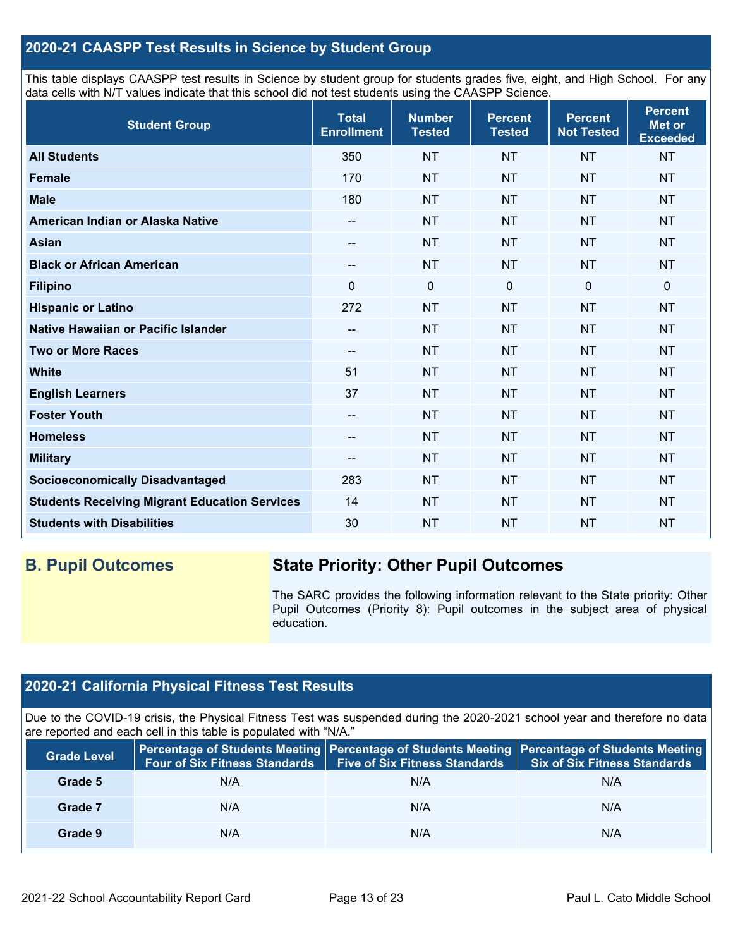## **2020-21 CAASPP Test Results in Science by Student Group**

This table displays CAASPP test results in Science by student group for students grades five, eight, and High School. For any data cells with N/T values indicate that this school did not test students using the CAASPP Science.

| <b>Student Group</b>                                 | <b>Total</b><br><b>Enrollment</b> | <b>Number</b><br><b>Tested</b> | <b>Percent</b><br><b>Tested</b> | <b>Percent</b><br><b>Not Tested</b> | <b>Percent</b><br>Met or<br><b>Exceeded</b> |
|------------------------------------------------------|-----------------------------------|--------------------------------|---------------------------------|-------------------------------------|---------------------------------------------|
| <b>All Students</b>                                  | 350                               | <b>NT</b>                      | <b>NT</b>                       | <b>NT</b>                           | <b>NT</b>                                   |
| <b>Female</b>                                        | 170                               | <b>NT</b>                      | <b>NT</b>                       | <b>NT</b>                           | <b>NT</b>                                   |
| <b>Male</b>                                          | 180                               | <b>NT</b>                      | <b>NT</b>                       | <b>NT</b>                           | <b>NT</b>                                   |
| American Indian or Alaska Native                     | --                                | <b>NT</b>                      | <b>NT</b>                       | <b>NT</b>                           | <b>NT</b>                                   |
| <b>Asian</b>                                         | --                                | <b>NT</b>                      | <b>NT</b>                       | <b>NT</b>                           | <b>NT</b>                                   |
| <b>Black or African American</b>                     | --                                | <b>NT</b>                      | <b>NT</b>                       | <b>NT</b>                           | <b>NT</b>                                   |
| <b>Filipino</b>                                      | 0                                 | $\mathbf 0$                    | $\mathbf 0$                     | 0                                   | 0                                           |
| <b>Hispanic or Latino</b>                            | 272                               | <b>NT</b>                      | <b>NT</b>                       | <b>NT</b>                           | <b>NT</b>                                   |
| Native Hawaiian or Pacific Islander                  | --                                | <b>NT</b>                      | <b>NT</b>                       | <b>NT</b>                           | <b>NT</b>                                   |
| <b>Two or More Races</b>                             | --                                | <b>NT</b>                      | <b>NT</b>                       | <b>NT</b>                           | <b>NT</b>                                   |
| <b>White</b>                                         | 51                                | <b>NT</b>                      | <b>NT</b>                       | <b>NT</b>                           | <b>NT</b>                                   |
| <b>English Learners</b>                              | 37                                | <b>NT</b>                      | <b>NT</b>                       | <b>NT</b>                           | <b>NT</b>                                   |
| <b>Foster Youth</b>                                  | --                                | <b>NT</b>                      | <b>NT</b>                       | <b>NT</b>                           | <b>NT</b>                                   |
| <b>Homeless</b>                                      | $- -$                             | <b>NT</b>                      | <b>NT</b>                       | <b>NT</b>                           | <b>NT</b>                                   |
| <b>Military</b>                                      | --                                | <b>NT</b>                      | <b>NT</b>                       | <b>NT</b>                           | <b>NT</b>                                   |
| <b>Socioeconomically Disadvantaged</b>               | 283                               | <b>NT</b>                      | <b>NT</b>                       | <b>NT</b>                           | <b>NT</b>                                   |
| <b>Students Receiving Migrant Education Services</b> | 14                                | <b>NT</b>                      | <b>NT</b>                       | <b>NT</b>                           | <b>NT</b>                                   |
| <b>Students with Disabilities</b>                    | 30                                | <b>NT</b>                      | <b>NT</b>                       | <b>NT</b>                           | <b>NT</b>                                   |

## **B. Pupil Outcomes State Priority: Other Pupil Outcomes**

The SARC provides the following information relevant to the State priority: Other Pupil Outcomes (Priority 8): Pupil outcomes in the subject area of physical education.

## **2020-21 California Physical Fitness Test Results**

Due to the COVID-19 crisis, the Physical Fitness Test was suspended during the 2020-2021 school year and therefore no data are reported and each cell in this table is populated with "N/A."

| <b>Grade Level</b> | Four of Six Fitness Standards | <b>Five of Six Fitness Standards</b> | Percentage of Students Meeting   Percentage of Students Meeting   Percentage of Students Meeting<br><b>Six of Six Fitness Standards</b> |
|--------------------|-------------------------------|--------------------------------------|-----------------------------------------------------------------------------------------------------------------------------------------|
| Grade 5            | N/A                           | N/A                                  | N/A                                                                                                                                     |
| Grade 7            | N/A                           | N/A                                  | N/A                                                                                                                                     |
| Grade 9            | N/A                           | N/A                                  | N/A                                                                                                                                     |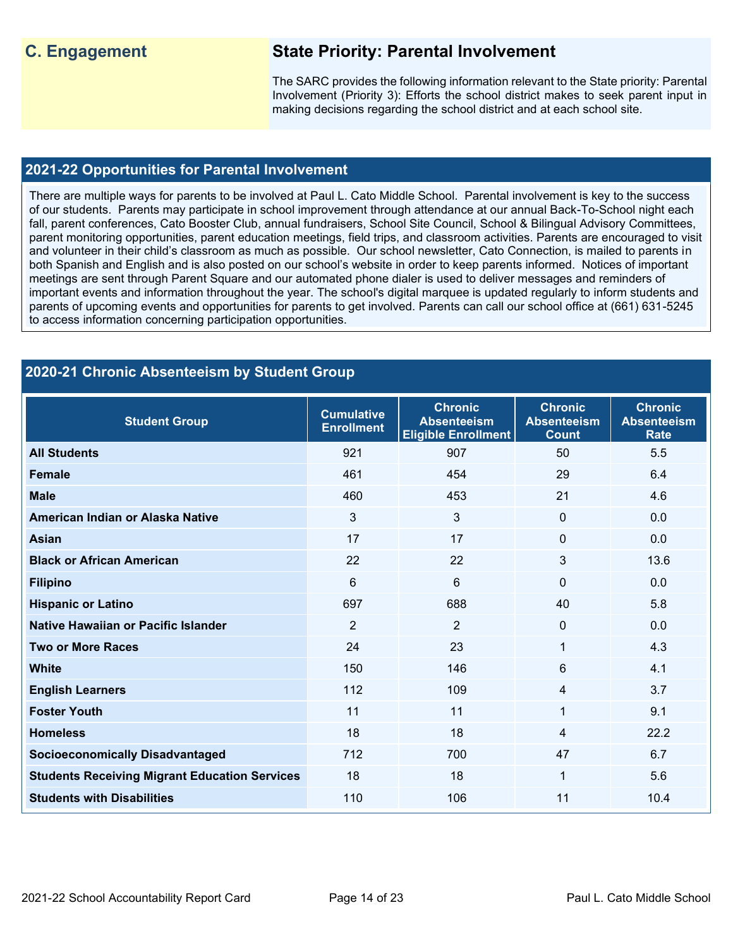## **C. Engagement State Priority: Parental Involvement**

The SARC provides the following information relevant to the State priority: Parental Involvement (Priority 3): Efforts the school district makes to seek parent input in making decisions regarding the school district and at each school site.

#### **2021-22 Opportunities for Parental Involvement**

There are multiple ways for parents to be involved at Paul L. Cato Middle School. Parental involvement is key to the success of our students. Parents may participate in school improvement through attendance at our annual Back-To-School night each fall, parent conferences, Cato Booster Club, annual fundraisers, School Site Council, School & Bilingual Advisory Committees, parent monitoring opportunities, parent education meetings, field trips, and classroom activities. Parents are encouraged to visit and volunteer in their child's classroom as much as possible. Our school newsletter, Cato Connection, is mailed to parents in both Spanish and English and is also posted on our school's website in order to keep parents informed. Notices of important meetings are sent through Parent Square and our automated phone dialer is used to deliver messages and reminders of important events and information throughout the year. The school's digital marquee is updated regularly to inform students and parents of upcoming events and opportunities for parents to get involved. Parents can call our school office at (661) 631-5245 to access information concerning participation opportunities.

| 2020-21 Chronic Absenteeism by Student Group         |                                        |                                                                    |                                                      |                                                     |  |  |  |  |  |
|------------------------------------------------------|----------------------------------------|--------------------------------------------------------------------|------------------------------------------------------|-----------------------------------------------------|--|--|--|--|--|
| <b>Student Group</b>                                 | <b>Cumulative</b><br><b>Enrollment</b> | <b>Chronic</b><br><b>Absenteeism</b><br><b>Eligible Enrollment</b> | <b>Chronic</b><br><b>Absenteeism</b><br><b>Count</b> | <b>Chronic</b><br><b>Absenteeism</b><br><b>Rate</b> |  |  |  |  |  |
| <b>All Students</b>                                  | 921                                    | 907                                                                | 50                                                   | 5.5                                                 |  |  |  |  |  |
| <b>Female</b>                                        | 461                                    | 454                                                                | 29                                                   | 6.4                                                 |  |  |  |  |  |
| <b>Male</b>                                          | 460                                    | 453                                                                | 21                                                   | 4.6                                                 |  |  |  |  |  |
| American Indian or Alaska Native                     | 3                                      | 3                                                                  | $\mathbf{0}$                                         | 0.0                                                 |  |  |  |  |  |
| <b>Asian</b>                                         | 17                                     | 17                                                                 | $\mathbf{0}$                                         | 0.0                                                 |  |  |  |  |  |
| <b>Black or African American</b>                     | 22                                     | 22                                                                 | $\mathbf{3}$                                         | 13.6                                                |  |  |  |  |  |
| <b>Filipino</b>                                      | 6                                      | 6                                                                  | $\mathbf{0}$                                         | 0.0                                                 |  |  |  |  |  |
| <b>Hispanic or Latino</b>                            | 697                                    | 688                                                                | 40                                                   | 5.8                                                 |  |  |  |  |  |
| <b>Native Hawaiian or Pacific Islander</b>           | $\overline{2}$                         | $\overline{2}$                                                     | $\mathbf 0$                                          | 0.0                                                 |  |  |  |  |  |
| <b>Two or More Races</b>                             | 24                                     | 23                                                                 | 1                                                    | 4.3                                                 |  |  |  |  |  |
| <b>White</b>                                         | 150                                    | 146                                                                | $6\phantom{1}$                                       | 4.1                                                 |  |  |  |  |  |
| <b>English Learners</b>                              | 112                                    | 109                                                                | $\overline{4}$                                       | 3.7                                                 |  |  |  |  |  |
| <b>Foster Youth</b>                                  | 11                                     | 11                                                                 | 1                                                    | 9.1                                                 |  |  |  |  |  |
| <b>Homeless</b>                                      | 18                                     | 18                                                                 | $\overline{4}$                                       | 22.2                                                |  |  |  |  |  |
| <b>Socioeconomically Disadvantaged</b>               | 712                                    | 700                                                                | 47                                                   | 6.7                                                 |  |  |  |  |  |
| <b>Students Receiving Migrant Education Services</b> | 18                                     | 18                                                                 | 1                                                    | 5.6                                                 |  |  |  |  |  |
| <b>Students with Disabilities</b>                    | 110                                    | 106                                                                | 11                                                   | 10.4                                                |  |  |  |  |  |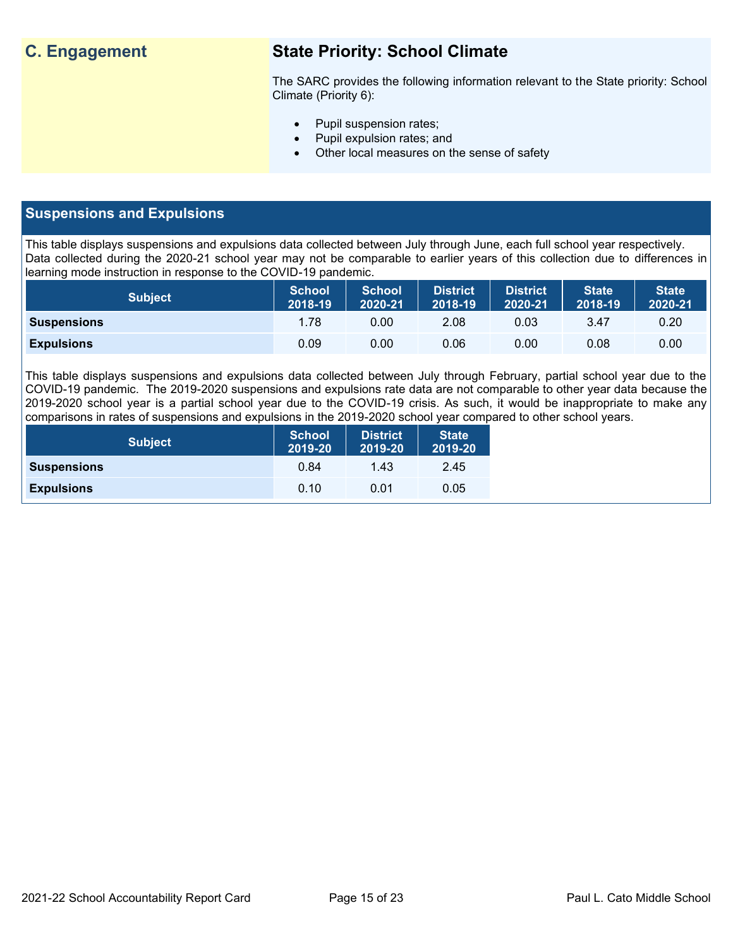## **C. Engagement State Priority: School Climate**

The SARC provides the following information relevant to the State priority: School Climate (Priority 6):

- Pupil suspension rates;
- Pupil expulsion rates; and
- Other local measures on the sense of safety

## **Suspensions and Expulsions**

This table displays suspensions and expulsions data collected between July through June, each full school year respectively. Data collected during the 2020-21 school year may not be comparable to earlier years of this collection due to differences in learning mode instruction in response to the COVID-19 pandemic.

| <b>Subject</b>     | <b>School</b><br>2018-19 | <b>School</b><br>2020-21 | <b>District</b><br>2018-19 | <b>District</b><br>2020-21 | <b>State</b><br>2018-19 | <b>State</b><br>2020-21 |
|--------------------|--------------------------|--------------------------|----------------------------|----------------------------|-------------------------|-------------------------|
| <b>Suspensions</b> | 1.78                     | 0.00                     | 2.08                       | 0.03                       | 3.47                    | 0.20                    |
| <b>Expulsions</b>  | 0.09                     | 0.00                     | 0.06                       | 0.00                       | 0.08                    | 0.00                    |

This table displays suspensions and expulsions data collected between July through February, partial school year due to the COVID-19 pandemic. The 2019-2020 suspensions and expulsions rate data are not comparable to other year data because the 2019-2020 school year is a partial school year due to the COVID-19 crisis. As such, it would be inappropriate to make any comparisons in rates of suspensions and expulsions in the 2019-2020 school year compared to other school years.

| <b>Subject</b>     | School<br>2019-20 | <b>District</b><br>2019-20 | <b>State</b><br>2019-20 |
|--------------------|-------------------|----------------------------|-------------------------|
| <b>Suspensions</b> | 0.84              | 1.43                       | 2.45                    |
| <b>Expulsions</b>  | 0.10              | 0.01                       | 0.05                    |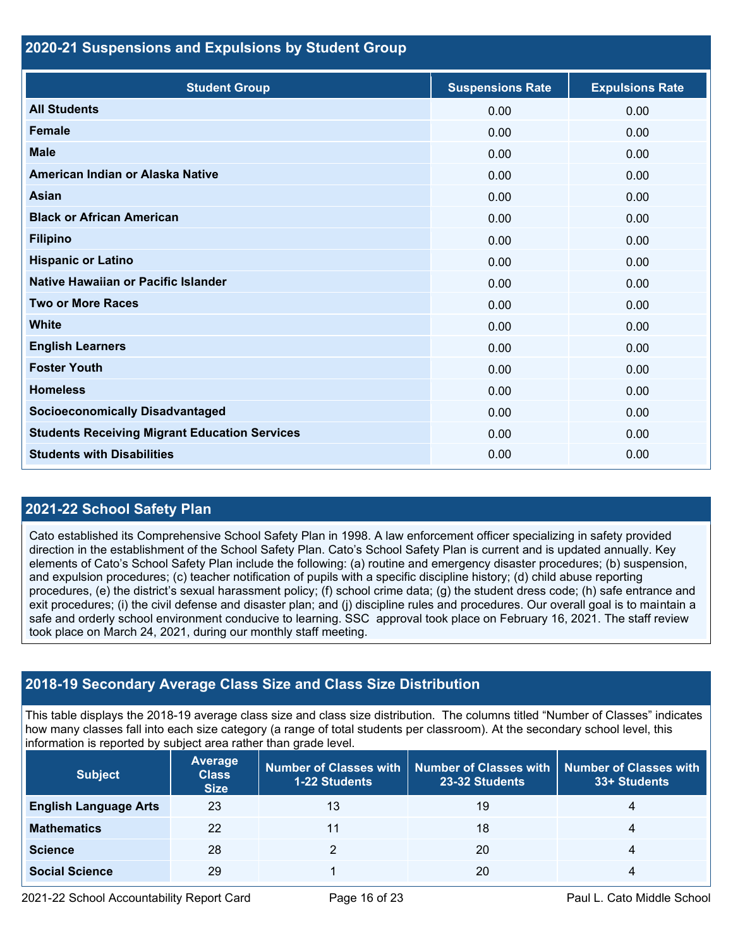### **2020-21 Suspensions and Expulsions by Student Group**

| <b>Student Group</b>                                 | <b>Suspensions Rate</b> | <b>Expulsions Rate</b> |
|------------------------------------------------------|-------------------------|------------------------|
| <b>All Students</b>                                  | 0.00                    | 0.00                   |
| <b>Female</b>                                        | 0.00                    | 0.00                   |
| <b>Male</b>                                          | 0.00                    | 0.00                   |
| American Indian or Alaska Native                     | 0.00                    | 0.00                   |
| <b>Asian</b>                                         | 0.00                    | 0.00                   |
| <b>Black or African American</b>                     | 0.00                    | 0.00                   |
| <b>Filipino</b>                                      | 0.00                    | 0.00                   |
| <b>Hispanic or Latino</b>                            | 0.00                    | 0.00                   |
| Native Hawaiian or Pacific Islander                  | 0.00                    | 0.00                   |
| <b>Two or More Races</b>                             | 0.00                    | 0.00                   |
| <b>White</b>                                         | 0.00                    | 0.00                   |
| <b>English Learners</b>                              | 0.00                    | 0.00                   |
| <b>Foster Youth</b>                                  | 0.00                    | 0.00                   |
| <b>Homeless</b>                                      | 0.00                    | 0.00                   |
| <b>Socioeconomically Disadvantaged</b>               | 0.00                    | 0.00                   |
| <b>Students Receiving Migrant Education Services</b> | 0.00                    | 0.00                   |
| <b>Students with Disabilities</b>                    | 0.00                    | 0.00                   |

## **2021-22 School Safety Plan**

Cato established its Comprehensive School Safety Plan in 1998. A law enforcement officer specializing in safety provided direction in the establishment of the School Safety Plan. Cato's School Safety Plan is current and is updated annually. Key elements of Cato's School Safety Plan include the following: (a) routine and emergency disaster procedures; (b) suspension, and expulsion procedures; (c) teacher notification of pupils with a specific discipline history; (d) child abuse reporting procedures, (e) the district's sexual harassment policy; (f) school crime data; (g) the student dress code; (h) safe entrance and exit procedures; (i) the civil defense and disaster plan; and (j) discipline rules and procedures. Our overall goal is to maintain a safe and orderly school environment conducive to learning. SSC approval took place on February 16, 2021. The staff review took place on March 24, 2021, during our monthly staff meeting.

## **2018-19 Secondary Average Class Size and Class Size Distribution**

This table displays the 2018-19 average class size and class size distribution. The columns titled "Number of Classes" indicates how many classes fall into each size category (a range of total students per classroom). At the secondary school level, this information is reported by subject area rather than grade level.

| <b>Subject</b>               | <b>Average</b><br><b>Class</b><br><b>Size</b> | <b>1-22 Students</b> | Number of Classes with   Number of Classes with   Number of Classes with<br>23-32 Students | 33+ Students |
|------------------------------|-----------------------------------------------|----------------------|--------------------------------------------------------------------------------------------|--------------|
| <b>English Language Arts</b> | 23                                            | 13                   | 19                                                                                         | 4            |
| <b>Mathematics</b>           | 22                                            | 11                   | 18                                                                                         | 4            |
| <b>Science</b>               | 28                                            |                      | 20                                                                                         | 4            |
| <b>Social Science</b>        | 29                                            |                      | 20                                                                                         | 4            |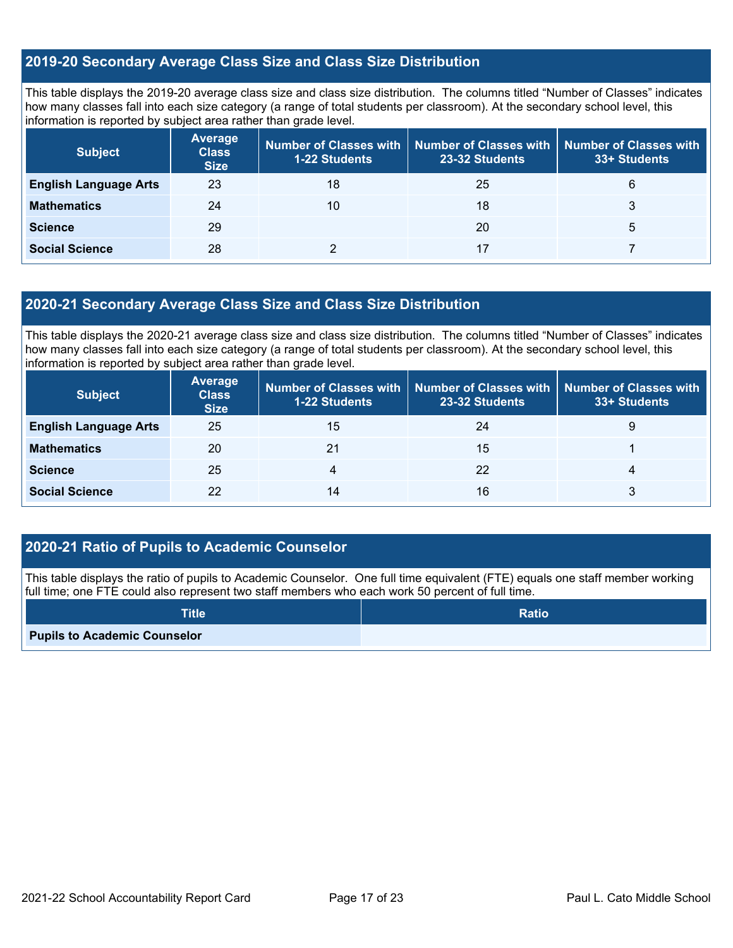## **2019-20 Secondary Average Class Size and Class Size Distribution**

This table displays the 2019-20 average class size and class size distribution. The columns titled "Number of Classes" indicates how many classes fall into each size category (a range of total students per classroom). At the secondary school level, this information is reported by subject area rather than grade level.

| <b>Subject</b>               | <b>Average</b><br><b>Class</b><br><b>Size</b> | 1-22 Students | Number of Classes with   Number of Classes with   Number of Classes with<br>23-32 Students |   |
|------------------------------|-----------------------------------------------|---------------|--------------------------------------------------------------------------------------------|---|
| <b>English Language Arts</b> | 23                                            | 18            | 25                                                                                         | 6 |
| <b>Mathematics</b>           | 24                                            | 10            | 18                                                                                         |   |
| <b>Science</b>               | 29                                            |               | 20                                                                                         | 5 |
| <b>Social Science</b>        | 28                                            |               |                                                                                            |   |

#### **2020-21 Secondary Average Class Size and Class Size Distribution**

This table displays the 2020-21 average class size and class size distribution. The columns titled "Number of Classes" indicates how many classes fall into each size category (a range of total students per classroom). At the secondary school level, this information is reported by subject area rather than grade level.

| <b>Subject</b>               | <b>Average</b><br><b>Class</b><br><b>Size</b> | 1-22 Students | Number of Classes with Number of Classes with<br>23-32 Students | <b>Number of Classes with</b><br>33+ Students |
|------------------------------|-----------------------------------------------|---------------|-----------------------------------------------------------------|-----------------------------------------------|
| <b>English Language Arts</b> | 25                                            | 15            | 24                                                              | 9                                             |
| <b>Mathematics</b>           | 20                                            | 21            | 15                                                              |                                               |
| <b>Science</b>               | 25                                            |               | 22                                                              | 4                                             |
| <b>Social Science</b>        | 22                                            | 14            | 16                                                              |                                               |

## **2020-21 Ratio of Pupils to Academic Counselor**

This table displays the ratio of pupils to Academic Counselor. One full time equivalent (FTE) equals one staff member working full time; one FTE could also represent two staff members who each work 50 percent of full time.

| <b>Title</b>                        | <b>Ratio</b> |
|-------------------------------------|--------------|
| <b>Pupils to Academic Counselor</b> |              |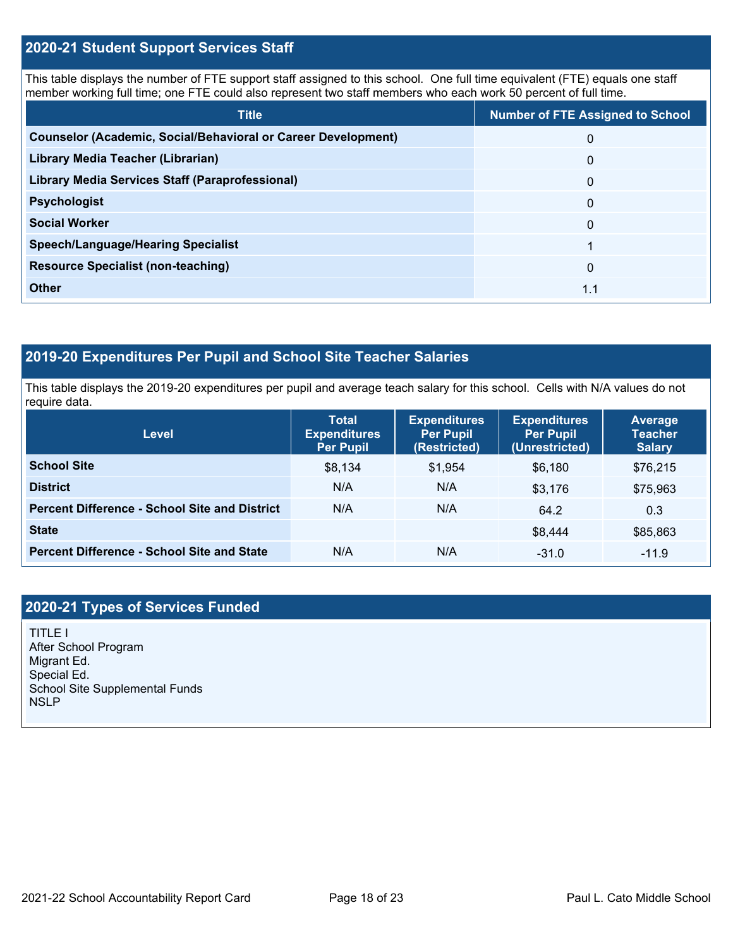### **2020-21 Student Support Services Staff**

This table displays the number of FTE support staff assigned to this school. One full time equivalent (FTE) equals one staff member working full time; one FTE could also represent two staff members who each work 50 percent of full time.

| <b>Title</b>                                                         | <b>Number of FTE Assigned to School</b> |
|----------------------------------------------------------------------|-----------------------------------------|
| <b>Counselor (Academic, Social/Behavioral or Career Development)</b> | 0                                       |
| Library Media Teacher (Librarian)                                    | 0                                       |
| <b>Library Media Services Staff (Paraprofessional)</b>               | $\mathbf{0}$                            |
| <b>Psychologist</b>                                                  | $\mathbf{0}$                            |
| <b>Social Worker</b>                                                 | $\mathbf{0}$                            |
| <b>Speech/Language/Hearing Specialist</b>                            |                                         |
| <b>Resource Specialist (non-teaching)</b>                            | $\mathbf{0}$                            |
| <b>Other</b>                                                         | 1.1                                     |

## **2019-20 Expenditures Per Pupil and School Site Teacher Salaries**

This table displays the 2019-20 expenditures per pupil and average teach salary for this school. Cells with N/A values do not require data.

| Level                                                | <b>Total</b><br><b>Expenditures</b><br><b>Per Pupil</b> | <b>Expenditures</b><br><b>Per Pupil</b><br>(Restricted) | <b>Expenditures</b><br><b>Per Pupil</b><br>(Unrestricted) | Average<br><b>Teacher</b><br><b>Salary</b> |
|------------------------------------------------------|---------------------------------------------------------|---------------------------------------------------------|-----------------------------------------------------------|--------------------------------------------|
| <b>School Site</b>                                   | \$8,134                                                 | \$1,954                                                 | \$6,180                                                   | \$76,215                                   |
| <b>District</b>                                      | N/A                                                     | N/A                                                     | \$3,176                                                   | \$75,963                                   |
| <b>Percent Difference - School Site and District</b> | N/A                                                     | N/A                                                     | 64.2                                                      | 0.3                                        |
| <b>State</b>                                         |                                                         |                                                         | \$8,444                                                   | \$85,863                                   |
| <b>Percent Difference - School Site and State</b>    | N/A                                                     | N/A                                                     | $-31.0$                                                   | $-11.9$                                    |

## **2020-21 Types of Services Funded**

TITLE I After School Program Migrant Ed. Special Ed. School Site Supplemental Funds NSLP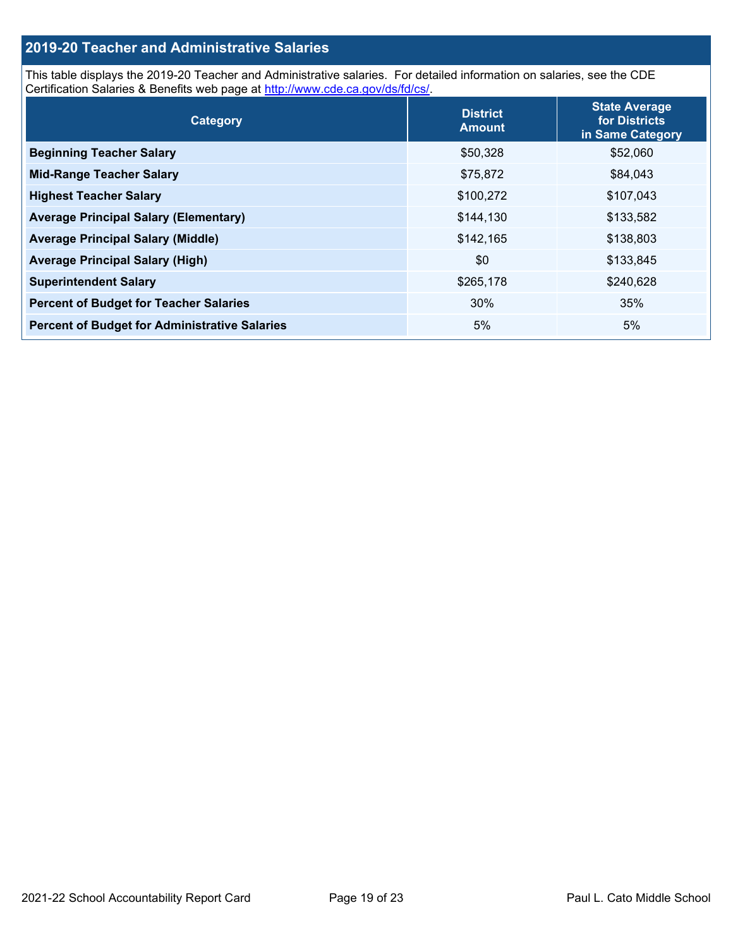## **2019-20 Teacher and Administrative Salaries**

This table displays the 2019-20 Teacher and Administrative salaries. For detailed information on salaries, see the CDE Certification Salaries & Benefits web page at [http://www.cde.ca.gov/ds/fd/cs/.](http://www.cde.ca.gov/ds/fd/cs/)

| Category                                             | <b>District</b><br><b>Amount</b> | <b>State Average</b><br>for Districts<br>in Same Category |
|------------------------------------------------------|----------------------------------|-----------------------------------------------------------|
| <b>Beginning Teacher Salary</b>                      | \$50,328                         | \$52,060                                                  |
| <b>Mid-Range Teacher Salary</b>                      | \$75,872                         | \$84,043                                                  |
| <b>Highest Teacher Salary</b>                        | \$100,272                        | \$107,043                                                 |
| <b>Average Principal Salary (Elementary)</b>         | \$144,130                        | \$133,582                                                 |
| <b>Average Principal Salary (Middle)</b>             | \$142,165                        | \$138,803                                                 |
| <b>Average Principal Salary (High)</b>               | \$0                              | \$133,845                                                 |
| <b>Superintendent Salary</b>                         | \$265,178                        | \$240,628                                                 |
| <b>Percent of Budget for Teacher Salaries</b>        | 30%                              | 35%                                                       |
| <b>Percent of Budget for Administrative Salaries</b> | 5%                               | 5%                                                        |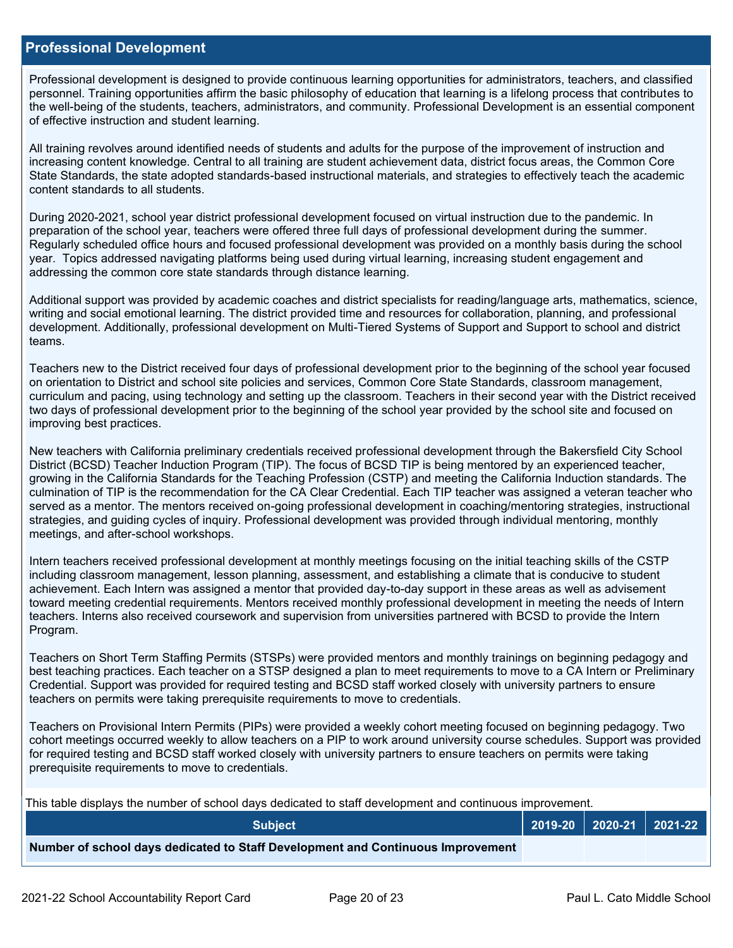#### **Professional Development**

Professional development is designed to provide continuous learning opportunities for administrators, teachers, and classified personnel. Training opportunities affirm the basic philosophy of education that learning is a lifelong process that contributes to the well-being of the students, teachers, administrators, and community. Professional Development is an essential component of effective instruction and student learning.

All training revolves around identified needs of students and adults for the purpose of the improvement of instruction and increasing content knowledge. Central to all training are student achievement data, district focus areas, the Common Core State Standards, the state adopted standards-based instructional materials, and strategies to effectively teach the academic content standards to all students.

During 2020-2021, school year district professional development focused on virtual instruction due to the pandemic. In preparation of the school year, teachers were offered three full days of professional development during the summer. Regularly scheduled office hours and focused professional development was provided on a monthly basis during the school year. Topics addressed navigating platforms being used during virtual learning, increasing student engagement and addressing the common core state standards through distance learning.

Additional support was provided by academic coaches and district specialists for reading/language arts, mathematics, science, writing and social emotional learning. The district provided time and resources for collaboration, planning, and professional development. Additionally, professional development on Multi-Tiered Systems of Support and Support to school and district teams.

Teachers new to the District received four days of professional development prior to the beginning of the school year focused on orientation to District and school site policies and services, Common Core State Standards, classroom management, curriculum and pacing, using technology and setting up the classroom. Teachers in their second year with the District received two days of professional development prior to the beginning of the school year provided by the school site and focused on improving best practices.

New teachers with California preliminary credentials received professional development through the Bakersfield City School District (BCSD) Teacher Induction Program (TIP). The focus of BCSD TIP is being mentored by an experienced teacher, growing in the California Standards for the Teaching Profession (CSTP) and meeting the California Induction standards. The culmination of TIP is the recommendation for the CA Clear Credential. Each TIP teacher was assigned a veteran teacher who served as a mentor. The mentors received on-going professional development in coaching/mentoring strategies, instructional strategies, and guiding cycles of inquiry. Professional development was provided through individual mentoring, monthly meetings, and after-school workshops.

Intern teachers received professional development at monthly meetings focusing on the initial teaching skills of the CSTP including classroom management, lesson planning, assessment, and establishing a climate that is conducive to student achievement. Each Intern was assigned a mentor that provided day-to-day support in these areas as well as advisement toward meeting credential requirements. Mentors received monthly professional development in meeting the needs of Intern teachers. Interns also received coursework and supervision from universities partnered with BCSD to provide the Intern Program.

Teachers on Short Term Staffing Permits (STSPs) were provided mentors and monthly trainings on beginning pedagogy and best teaching practices. Each teacher on a STSP designed a plan to meet requirements to move to a CA Intern or Preliminary Credential. Support was provided for required testing and BCSD staff worked closely with university partners to ensure teachers on permits were taking prerequisite requirements to move to credentials.

Teachers on Provisional Intern Permits (PIPs) were provided a weekly cohort meeting focused on beginning pedagogy. Two cohort meetings occurred weekly to allow teachers on a PIP to work around university course schedules. Support was provided for required testing and BCSD staff worked closely with university partners to ensure teachers on permits were taking prerequisite requirements to move to credentials.

This table displays the number of school days dedicated to staff development and continuous improvement.

| <b>Subiect</b>                                                                  |  | $\vert$ 2019-20 $\vert$ 2020-21 $\vert$ 2021-22 $\vert$ |
|---------------------------------------------------------------------------------|--|---------------------------------------------------------|
| Number of school days dedicated to Staff Development and Continuous Improvement |  |                                                         |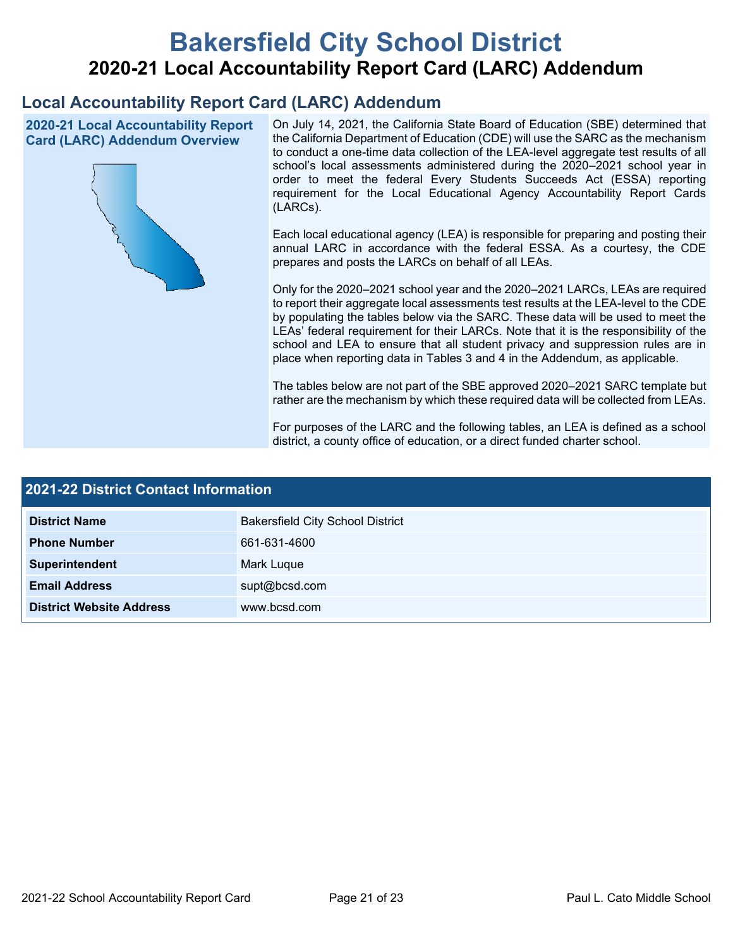# **Bakersfield City School District 2020-21 Local Accountability Report Card (LARC) Addendum**

## **Local Accountability Report Card (LARC) Addendum**

**2020-21 Local Accountability Report Card (LARC) Addendum Overview**



On July 14, 2021, the California State Board of Education (SBE) determined that the California Department of Education (CDE) will use the SARC as the mechanism to conduct a one-time data collection of the LEA-level aggregate test results of all school's local assessments administered during the 2020–2021 school year in order to meet the federal Every Students Succeeds Act (ESSA) reporting requirement for the Local Educational Agency Accountability Report Cards (LARCs).

Each local educational agency (LEA) is responsible for preparing and posting their annual LARC in accordance with the federal ESSA. As a courtesy, the CDE prepares and posts the LARCs on behalf of all LEAs.

Only for the 2020–2021 school year and the 2020–2021 LARCs, LEAs are required to report their aggregate local assessments test results at the LEA-level to the CDE by populating the tables below via the SARC. These data will be used to meet the LEAs' federal requirement for their LARCs. Note that it is the responsibility of the school and LEA to ensure that all student privacy and suppression rules are in place when reporting data in Tables 3 and 4 in the Addendum, as applicable.

The tables below are not part of the SBE approved 2020–2021 SARC template but rather are the mechanism by which these required data will be collected from LEAs.

For purposes of the LARC and the following tables, an LEA is defined as a school district, a county office of education, or a direct funded charter school.

| <b>2021-22 District Contact Information</b> |                                         |  |  |
|---------------------------------------------|-----------------------------------------|--|--|
| <b>District Name</b>                        | <b>Bakersfield City School District</b> |  |  |
| <b>Phone Number</b>                         | 661-631-4600                            |  |  |
| Superintendent                              | Mark Luque                              |  |  |
| <b>Email Address</b>                        | supt@bcsd.com                           |  |  |
| <b>District Website Address</b>             | www.bcsd.com                            |  |  |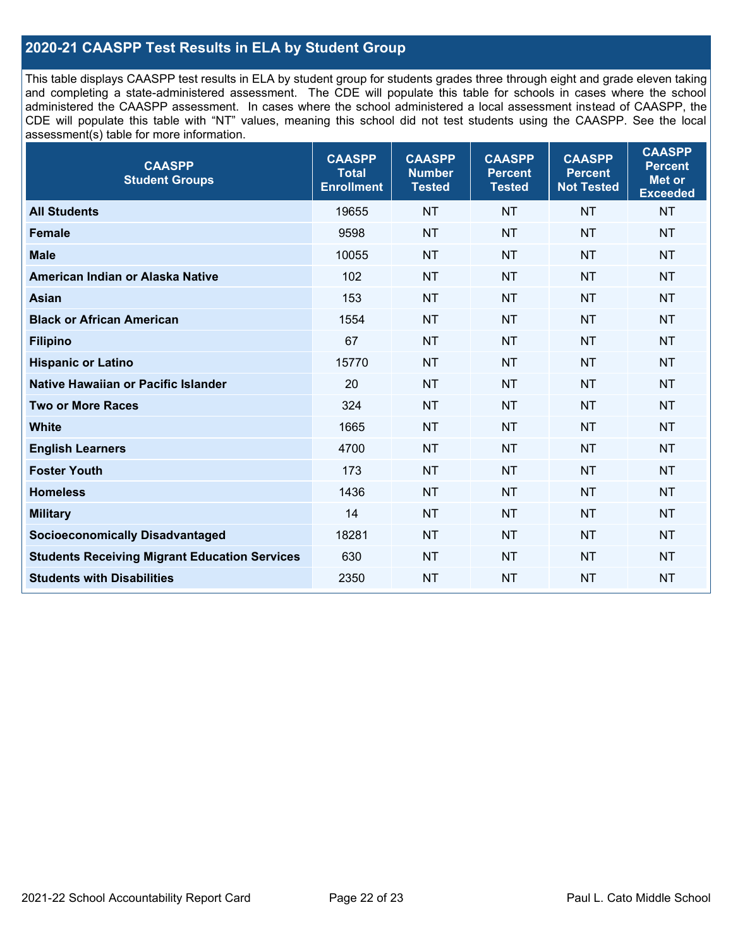## **2020-21 CAASPP Test Results in ELA by Student Group**

This table displays CAASPP test results in ELA by student group for students grades three through eight and grade eleven taking and completing a state-administered assessment. The CDE will populate this table for schools in cases where the school administered the CAASPP assessment. In cases where the school administered a local assessment instead of CAASPP, the CDE will populate this table with "NT" values, meaning this school did not test students using the CAASPP. See the local assessment(s) table for more information.

| <b>CAASPP</b><br><b>Student Groups</b>               | <b>CAASPP</b><br><b>Total</b><br><b>Enrollment</b> | <b>CAASPP</b><br><b>Number</b><br><b>Tested</b> | <b>CAASPP</b><br><b>Percent</b><br><b>Tested</b> | <b>CAASPP</b><br><b>Percent</b><br><b>Not Tested</b> | <b>CAASPP</b><br><b>Percent</b><br>Met or<br><b>Exceeded</b> |
|------------------------------------------------------|----------------------------------------------------|-------------------------------------------------|--------------------------------------------------|------------------------------------------------------|--------------------------------------------------------------|
| <b>All Students</b>                                  | 19655                                              | <b>NT</b>                                       | <b>NT</b>                                        | <b>NT</b>                                            | <b>NT</b>                                                    |
| <b>Female</b>                                        | 9598                                               | <b>NT</b>                                       | <b>NT</b>                                        | <b>NT</b>                                            | <b>NT</b>                                                    |
| <b>Male</b>                                          | 10055                                              | <b>NT</b>                                       | <b>NT</b>                                        | <b>NT</b>                                            | <b>NT</b>                                                    |
| American Indian or Alaska Native                     | 102                                                | <b>NT</b>                                       | <b>NT</b>                                        | <b>NT</b>                                            | <b>NT</b>                                                    |
| <b>Asian</b>                                         | 153                                                | <b>NT</b>                                       | <b>NT</b>                                        | <b>NT</b>                                            | <b>NT</b>                                                    |
| <b>Black or African American</b>                     | 1554                                               | <b>NT</b>                                       | <b>NT</b>                                        | <b>NT</b>                                            | NT                                                           |
| <b>Filipino</b>                                      | 67                                                 | <b>NT</b>                                       | <b>NT</b>                                        | <b>NT</b>                                            | <b>NT</b>                                                    |
| <b>Hispanic or Latino</b>                            | 15770                                              | <b>NT</b>                                       | <b>NT</b>                                        | <b>NT</b>                                            | <b>NT</b>                                                    |
| Native Hawaiian or Pacific Islander                  | 20                                                 | <b>NT</b>                                       | <b>NT</b>                                        | <b>NT</b>                                            | <b>NT</b>                                                    |
| <b>Two or More Races</b>                             | 324                                                | <b>NT</b>                                       | <b>NT</b>                                        | <b>NT</b>                                            | <b>NT</b>                                                    |
| <b>White</b>                                         | 1665                                               | <b>NT</b>                                       | <b>NT</b>                                        | <b>NT</b>                                            | <b>NT</b>                                                    |
| <b>English Learners</b>                              | 4700                                               | <b>NT</b>                                       | <b>NT</b>                                        | <b>NT</b>                                            | <b>NT</b>                                                    |
| <b>Foster Youth</b>                                  | 173                                                | <b>NT</b>                                       | <b>NT</b>                                        | <b>NT</b>                                            | <b>NT</b>                                                    |
| <b>Homeless</b>                                      | 1436                                               | <b>NT</b>                                       | <b>NT</b>                                        | <b>NT</b>                                            | <b>NT</b>                                                    |
| <b>Military</b>                                      | 14                                                 | <b>NT</b>                                       | <b>NT</b>                                        | <b>NT</b>                                            | <b>NT</b>                                                    |
| <b>Socioeconomically Disadvantaged</b>               | 18281                                              | <b>NT</b>                                       | <b>NT</b>                                        | <b>NT</b>                                            | <b>NT</b>                                                    |
| <b>Students Receiving Migrant Education Services</b> | 630                                                | <b>NT</b>                                       | <b>NT</b>                                        | <b>NT</b>                                            | NT                                                           |
| <b>Students with Disabilities</b>                    | 2350                                               | <b>NT</b>                                       | <b>NT</b>                                        | <b>NT</b>                                            | NT                                                           |